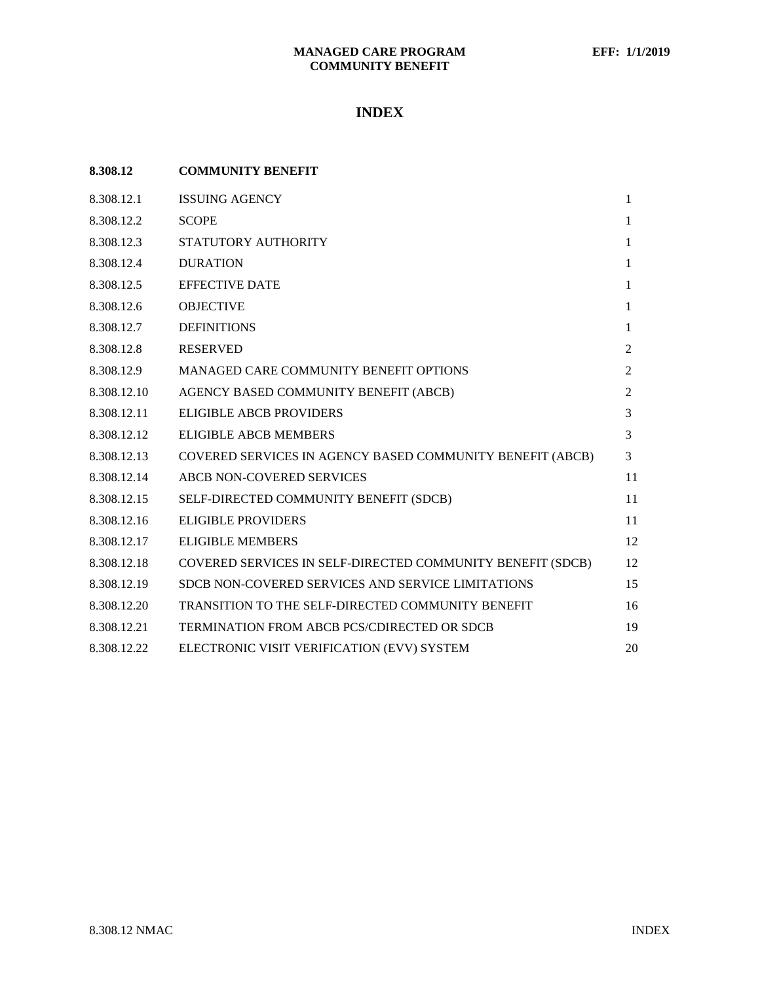# **INDEX**

| 8.308.12    | <b>COMMUNITY BENEFIT</b>                                   |              |
|-------------|------------------------------------------------------------|--------------|
| 8.308.12.1  | <b>ISSUING AGENCY</b>                                      | $\mathbf{1}$ |
| 8.308.12.2  | <b>SCOPE</b>                                               | 1            |
| 8.308.12.3  | STATUTORY AUTHORITY                                        | $\mathbf{1}$ |
| 8.308.12.4  | <b>DURATION</b>                                            | 1            |
| 8.308.12.5  | <b>EFFECTIVE DATE</b>                                      | 1            |
| 8.308.12.6  | <b>OBJECTIVE</b>                                           | 1            |
| 8.308.12.7  | <b>DEFINITIONS</b>                                         | $\mathbf{1}$ |
| 8.308.12.8  | <b>RESERVED</b>                                            | 2            |
| 8.308.12.9  | MANAGED CARE COMMUNITY BENEFIT OPTIONS                     | 2            |
| 8.308.12.10 | AGENCY BASED COMMUNITY BENEFIT (ABCB)                      | 2            |
| 8.308.12.11 | ELIGIBLE ABCB PROVIDERS                                    | 3            |
| 8.308.12.12 | <b>ELIGIBLE ABCB MEMBERS</b>                               | 3            |
| 8.308.12.13 | COVERED SERVICES IN AGENCY BASED COMMUNITY BENEFIT (ABCB)  | 3            |
| 8.308.12.14 | ABCB NON-COVERED SERVICES                                  | 11           |
| 8.308.12.15 | SELF-DIRECTED COMMUNITY BENEFIT (SDCB)                     | 11           |
| 8.308.12.16 | <b>ELIGIBLE PROVIDERS</b>                                  | 11           |
| 8.308.12.17 | <b>ELIGIBLE MEMBERS</b>                                    | 12           |
| 8.308.12.18 | COVERED SERVICES IN SELF-DIRECTED COMMUNITY BENEFIT (SDCB) | 12           |
| 8.308.12.19 | SDCB NON-COVERED SERVICES AND SERVICE LIMITATIONS          | 15           |
| 8.308.12.20 | TRANSITION TO THE SELF-DIRECTED COMMUNITY BENEFIT          | 16           |
| 8.308.12.21 | TERMINATION FROM ABCB PCS/CDIRECTED OR SDCB                | 19           |
| 8.308.12.22 | ELECTRONIC VISIT VERIFICATION (EVV) SYSTEM                 | 20           |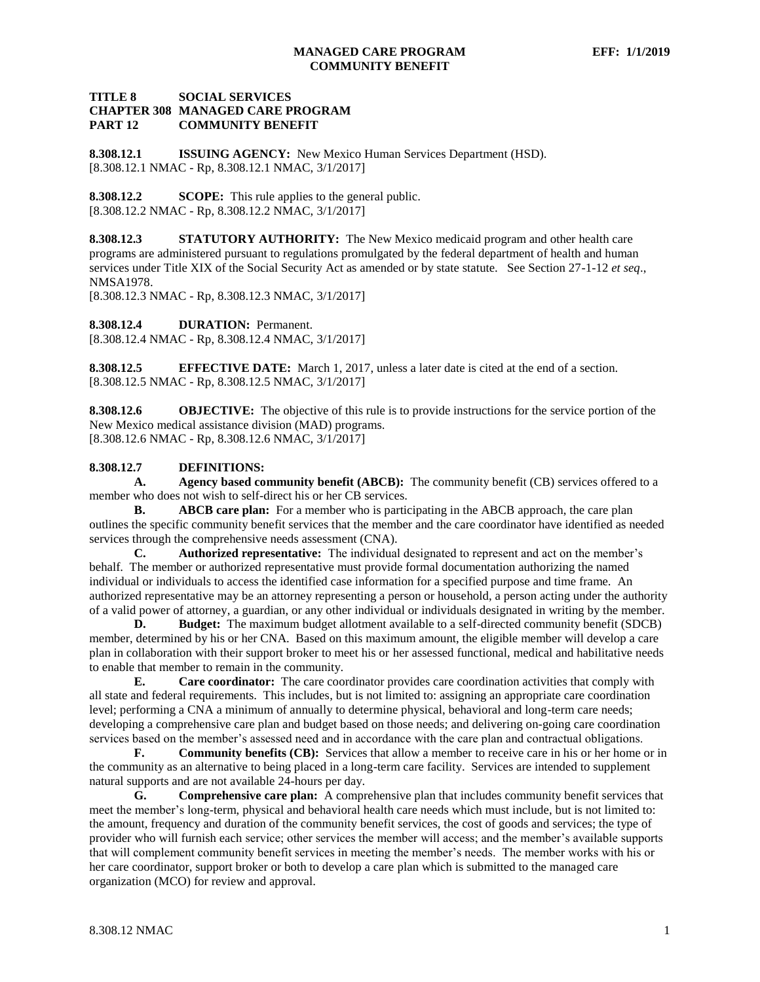## **TITLE 8 SOCIAL SERVICES CHAPTER 308 MANAGED CARE PROGRAM PART 12 COMMUNITY BENEFIT**

<span id="page-1-0"></span>**8.308.12.1 ISSUING AGENCY:** New Mexico Human Services Department (HSD). [8.308.12.1 NMAC - Rp, 8.308.12.1 NMAC, 3/1/2017]

<span id="page-1-1"></span>**8.308.12.2 SCOPE:** This rule applies to the general public. [8.308.12.2 NMAC - Rp, 8.308.12.2 NMAC, 3/1/2017]

<span id="page-1-2"></span>**8.308.12.3 STATUTORY AUTHORITY:** The New Mexico medicaid program and other health care programs are administered pursuant to regulations promulgated by the federal department of health and human services under Title XIX of the Social Security Act as amended or by state statute. See Section 27-1-12 *et seq*., NMSA1978.

[8.308.12.3 NMAC - Rp, 8.308.12.3 NMAC, 3/1/2017]

<span id="page-1-3"></span>**8.308.12.4 DURATION:** Permanent.

[8.308.12.4 NMAC - Rp, 8.308.12.4 NMAC, 3/1/2017]

<span id="page-1-4"></span>**8.308.12.5 EFFECTIVE DATE:** March 1, 2017, unless a later date is cited at the end of a section. [8.308.12.5 NMAC - Rp, 8.308.12.5 NMAC, 3/1/2017]

<span id="page-1-5"></span>**8.308.12.6 OBJECTIVE:** The objective of this rule is to provide instructions for the service portion of the New Mexico medical assistance division (MAD) programs. [8.308.12.6 NMAC - Rp, 8.308.12.6 NMAC, 3/1/2017]

# <span id="page-1-6"></span>**8.308.12.7 DEFINITIONS:**

**A. Agency based community benefit (ABCB):** The community benefit (CB) services offered to a member who does not wish to self-direct his or her CB services.

**B. ABCB care plan:** For a member who is participating in the ABCB approach, the care plan outlines the specific community benefit services that the member and the care coordinator have identified as needed services through the comprehensive needs assessment (CNA).

**C. Authorized representative:** The individual designated to represent and act on the member's behalf. The member or authorized representative must provide formal documentation authorizing the named individual or individuals to access the identified case information for a specified purpose and time frame. An authorized representative may be an attorney representing a person or household, a person acting under the authority of a valid power of attorney, a guardian, or any other individual or individuals designated in writing by the member.

**D. Budget:** The maximum budget allotment available to a self-directed community benefit (SDCB) member, determined by his or her CNA. Based on this maximum amount, the eligible member will develop a care plan in collaboration with their support broker to meet his or her assessed functional, medical and habilitative needs to enable that member to remain in the community.

**E. Care coordinator:** The care coordinator provides care coordination activities that comply with all state and federal requirements. This includes, but is not limited to: assigning an appropriate care coordination level; performing a CNA a minimum of annually to determine physical, behavioral and long-term care needs; developing a comprehensive care plan and budget based on those needs; and delivering on-going care coordination services based on the member's assessed need and in accordance with the care plan and contractual obligations.

**F. Community benefits (CB):** Services that allow a member to receive care in his or her home or in the community as an alternative to being placed in a long-term care facility. Services are intended to supplement natural supports and are not available 24-hours per day.

**G. Comprehensive care plan:** A comprehensive plan that includes community benefit services that meet the member's long-term, physical and behavioral health care needs which must include, but is not limited to: the amount, frequency and duration of the community benefit services, the cost of goods and services; the type of provider who will furnish each service; other services the member will access; and the member's available supports that will complement community benefit services in meeting the member's needs. The member works with his or her care coordinator, support broker or both to develop a care plan which is submitted to the managed care organization (MCO) for review and approval.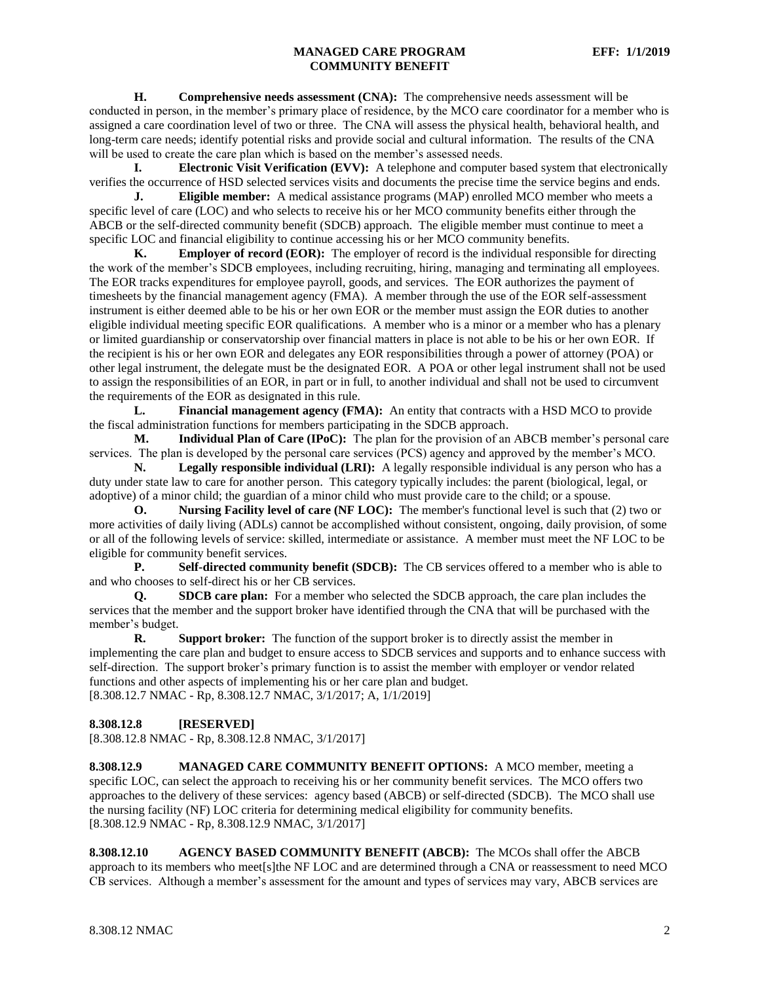**H. Comprehensive needs assessment (CNA):** The comprehensive needs assessment will be conducted in person, in the member's primary place of residence, by the MCO care coordinator for a member who is assigned a care coordination level of two or three. The CNA will assess the physical health, behavioral health, and long-term care needs; identify potential risks and provide social and cultural information. The results of the CNA will be used to create the care plan which is based on the member's assessed needs.

**I. Electronic Visit Verification (EVV):** A telephone and computer based system that electronically verifies the occurrence of HSD selected services visits and documents the precise time the service begins and ends.

**J. Eligible member:** A medical assistance programs (MAP) enrolled MCO member who meets a specific level of care (LOC) and who selects to receive his or her MCO community benefits either through the ABCB or the self-directed community benefit (SDCB) approach. The eligible member must continue to meet a specific LOC and financial eligibility to continue accessing his or her MCO community benefits.

**K. Employer of record (EOR):** The employer of record is the individual responsible for directing the work of the member's SDCB employees, including recruiting, hiring, managing and terminating all employees. The EOR tracks expenditures for employee payroll, goods, and services. The EOR authorizes the payment of timesheets by the financial management agency (FMA). A member through the use of the EOR self-assessment instrument is either deemed able to be his or her own EOR or the member must assign the EOR duties to another eligible individual meeting specific EOR qualifications. A member who is a minor or a member who has a plenary or limited guardianship or conservatorship over financial matters in place is not able to be his or her own EOR. If the recipient is his or her own EOR and delegates any EOR responsibilities through a power of attorney (POA) or other legal instrument, the delegate must be the designated EOR. A POA or other legal instrument shall not be used to assign the responsibilities of an EOR, in part or in full, to another individual and shall not be used to circumvent the requirements of the EOR as designated in this rule.

**L. Financial management agency (FMA):** An entity that contracts with a HSD MCO to provide the fiscal administration functions for members participating in the SDCB approach.

**M. Individual Plan of Care (IPoC):** The plan for the provision of an ABCB member's personal care services. The plan is developed by the personal care services (PCS) agency and approved by the member's MCO.

**N. Legally responsible individual (LRI):** A legally responsible individual is any person who has a duty under state law to care for another person. This category typically includes: the parent (biological, legal, or adoptive) of a minor child; the guardian of a minor child who must provide care to the child; or a spouse.

**O. Nursing Facility level of care (NF LOC):** The member's functional level is such that (2) two or more activities of daily living (ADLs) cannot be accomplished without consistent, ongoing, daily provision, of some or all of the following levels of service: skilled, intermediate or assistance. A member must meet the NF LOC to be eligible for community benefit services.

**P. Self-directed community benefit (SDCB):** The CB services offered to a member who is able to and who chooses to self-direct his or her CB services.

**Q. SDCB care plan:** For a member who selected the SDCB approach, the care plan includes the services that the member and the support broker have identified through the CNA that will be purchased with the member's budget.

**R. Support broker:** The function of the support broker is to directly assist the member in implementing the care plan and budget to ensure access to SDCB services and supports and to enhance success with self-direction. The support broker's primary function is to assist the member with employer or vendor related functions and other aspects of implementing his or her care plan and budget. [8.308.12.7 NMAC - Rp, 8.308.12.7 NMAC, 3/1/2017; A, 1/1/2019]

## <span id="page-2-0"></span>**8.308.12.8 [RESERVED]**

[8.308.12.8 NMAC - Rp, 8.308.12.8 NMAC, 3/1/2017]

<span id="page-2-1"></span>**8.308.12.9 MANAGED CARE COMMUNITY BENEFIT OPTIONS:** A MCO member, meeting a specific LOC, can select the approach to receiving his or her community benefit services. The MCO offers two approaches to the delivery of these services: agency based (ABCB) or self-directed (SDCB). The MCO shall use the nursing facility (NF) LOC criteria for determining medical eligibility for community benefits. [8.308.12.9 NMAC - Rp, 8.308.12.9 NMAC, 3/1/2017]

<span id="page-2-2"></span>**8.308.12.10 AGENCY BASED COMMUNITY BENEFIT (ABCB):** The MCOs shall offer the ABCB approach to its members who meet[s]the NF LOC and are determined through a CNA or reassessment to need MCO CB services. Although a member's assessment for the amount and types of services may vary, ABCB services are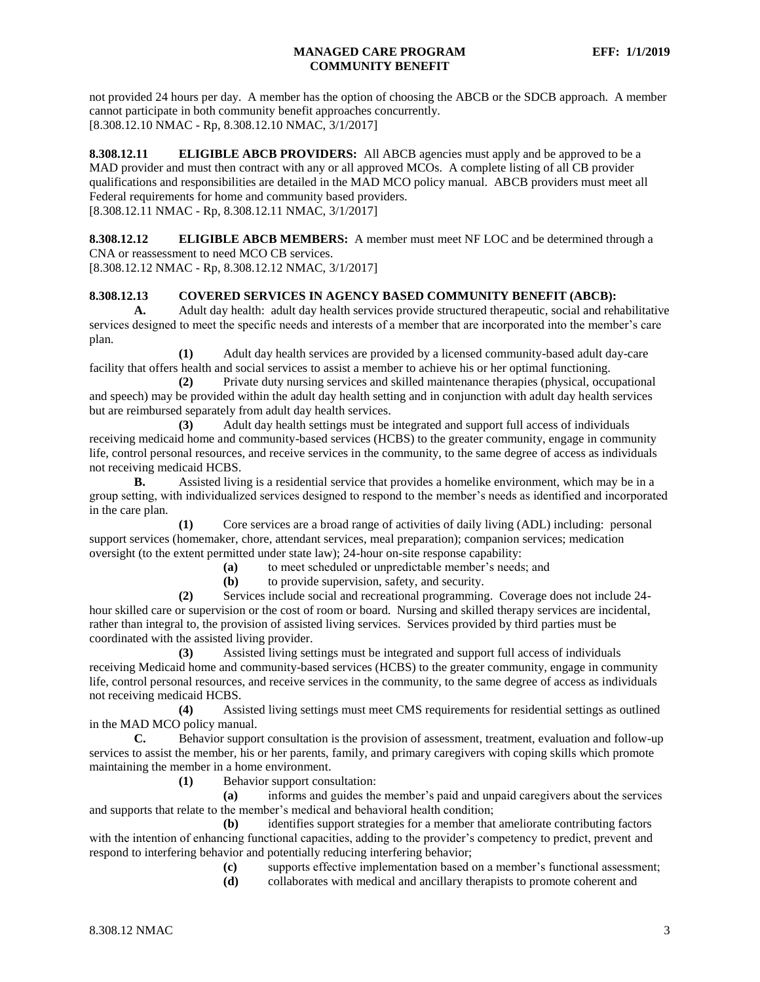not provided 24 hours per day. A member has the option of choosing the ABCB or the SDCB approach. A member cannot participate in both community benefit approaches concurrently. [8.308.12.10 NMAC - Rp, 8.308.12.10 NMAC, 3/1/2017]

<span id="page-3-0"></span>**8.308.12.11 ELIGIBLE ABCB PROVIDERS:** All ABCB agencies must apply and be approved to be a MAD provider and must then contract with any or all approved MCOs. A complete listing of all CB provider qualifications and responsibilities are detailed in the MAD MCO policy manual. ABCB providers must meet all Federal requirements for home and community based providers. [8.308.12.11 NMAC - Rp, 8.308.12.11 NMAC, 3/1/2017]

<span id="page-3-1"></span>**8.308.12.12 ELIGIBLE ABCB MEMBERS:** A member must meet NF LOC and be determined through a CNA or reassessment to need MCO CB services.

[8.308.12.12 NMAC - Rp, 8.308.12.12 NMAC, 3/1/2017]

#### <span id="page-3-2"></span>**8.308.12.13 COVERED SERVICES IN AGENCY BASED COMMUNITY BENEFIT (ABCB):**

**A.** Adult day health: adult day health services provide structured therapeutic, social and rehabilitative services designed to meet the specific needs and interests of a member that are incorporated into the member's care plan.

**(1)** Adult day health services are provided by a licensed community-based adult day-care facility that offers health and social services to assist a member to achieve his or her optimal functioning.

**(2)** Private duty nursing services and skilled maintenance therapies (physical, occupational and speech) may be provided within the adult day health setting and in conjunction with adult day health services but are reimbursed separately from adult day health services.

**(3)** Adult day health settings must be integrated and support full access of individuals receiving medicaid home and community-based services (HCBS) to the greater community, engage in community life, control personal resources, and receive services in the community, to the same degree of access as individuals not receiving medicaid HCBS.

**B.** Assisted living is a residential service that provides a homelike environment, which may be in a group setting, with individualized services designed to respond to the member's needs as identified and incorporated in the care plan.

**(1)** Core services are a broad range of activities of daily living (ADL) including: personal support services (homemaker, chore, attendant services, meal preparation); companion services; medication oversight (to the extent permitted under state law); 24-hour on-site response capability:

**(a)** to meet scheduled or unpredictable member's needs; and

**(b)** to provide supervision, safety, and security.

**(2)** Services include social and recreational programming. Coverage does not include 24 hour skilled care or supervision or the cost of room or board. Nursing and skilled therapy services are incidental, rather than integral to, the provision of assisted living services. Services provided by third parties must be coordinated with the assisted living provider.

**(3)** Assisted living settings must be integrated and support full access of individuals receiving Medicaid home and community-based services (HCBS) to the greater community, engage in community life, control personal resources, and receive services in the community, to the same degree of access as individuals not receiving medicaid HCBS.

**(4)** Assisted living settings must meet CMS requirements for residential settings as outlined in the MAD MCO policy manual.<br> **C.** Behavior sunnor

**C.** Behavior support consultation is the provision of assessment, treatment, evaluation and follow-up services to assist the member, his or her parents, family, and primary caregivers with coping skills which promote maintaining the member in a home environment.

**(1)** Behavior support consultation:

**(a)** informs and guides the member's paid and unpaid caregivers about the services and supports that relate to the member's medical and behavioral health condition;

**(b)** identifies support strategies for a member that ameliorate contributing factors with the intention of enhancing functional capacities, adding to the provider's competency to predict, prevent and respond to interfering behavior and potentially reducing interfering behavior;

**(c)** supports effective implementation based on a member's functional assessment;

**(d)** collaborates with medical and ancillary therapists to promote coherent and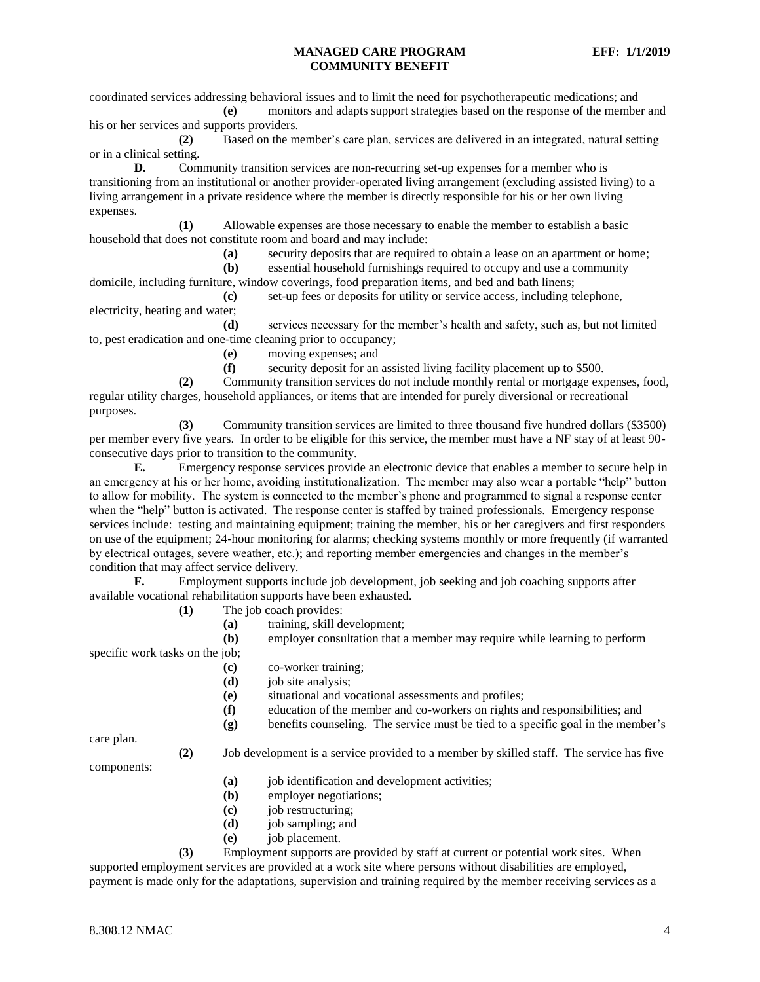coordinated services addressing behavioral issues and to limit the need for psychotherapeutic medications; and **(e)** monitors and adapts support strategies based on the response of the member and

his or her services and supports providers.

**(2)** Based on the member's care plan, services are delivered in an integrated, natural setting or in a clinical setting.

**D.** Community transition services are non-recurring set-up expenses for a member who is transitioning from an institutional or another provider-operated living arrangement (excluding assisted living) to a living arrangement in a private residence where the member is directly responsible for his or her own living expenses.

**(1)** Allowable expenses are those necessary to enable the member to establish a basic household that does not constitute room and board and may include:

**(a)** security deposits that are required to obtain a lease on an apartment or home;

**(b)** essential household furnishings required to occupy and use a community domicile, including furniture, window coverings, food preparation items, and bed and bath linens;

**(c)** set-up fees or deposits for utility or service access, including telephone, electricity, heating and water;

**(d)** services necessary for the member's health and safety, such as, but not limited to, pest eradication and one-time cleaning prior to occupancy;

**(e)** moving expenses; and

**(f)** security deposit for an assisted living facility placement up to \$500.

**(2)** Community transition services do not include monthly rental or mortgage expenses, food, regular utility charges, household appliances, or items that are intended for purely diversional or recreational purposes.

**(3)** Community transition services are limited to three thousand five hundred dollars (\$3500) per member every five years. In order to be eligible for this service, the member must have a NF stay of at least 90 consecutive days prior to transition to the community.

**E.** Emergency response services provide an electronic device that enables a member to secure help in an emergency at his or her home, avoiding institutionalization. The member may also wear a portable "help" button to allow for mobility. The system is connected to the member's phone and programmed to signal a response center when the "help" button is activated. The response center is staffed by trained professionals. Emergency response services include: testing and maintaining equipment; training the member, his or her caregivers and first responders on use of the equipment; 24-hour monitoring for alarms; checking systems monthly or more frequently (if warranted by electrical outages, severe weather, etc.); and reporting member emergencies and changes in the member's condition that may affect service delivery.

**F.** Employment supports include job development, job seeking and job coaching supports after available vocational rehabilitation supports have been exhausted.

**(1)** The job coach provides:

**(a)** training, skill development;

**(b)** employer consultation that a member may require while learning to perform specific work tasks on the job;

- **(c)** co-worker training;
- **(d)** job site analysis;

**(e)** situational and vocational assessments and profiles;

- **(f)** education of the member and co-workers on rights and responsibilities; and
- **(g)** benefits counseling. The service must be tied to a specific goal in the member's

care plan.

**(2)** Job development is a service provided to a member by skilled staff. The service has five

components:

- **(a)** job identification and development activities;
- **(b)** employer negotiations;
- **(c)** job restructuring;
- **(d)** job sampling; and
- **(e)** job placement.

**(3)** Employment supports are provided by staff at current or potential work sites. When supported employment services are provided at a work site where persons without disabilities are employed, payment is made only for the adaptations, supervision and training required by the member receiving services as a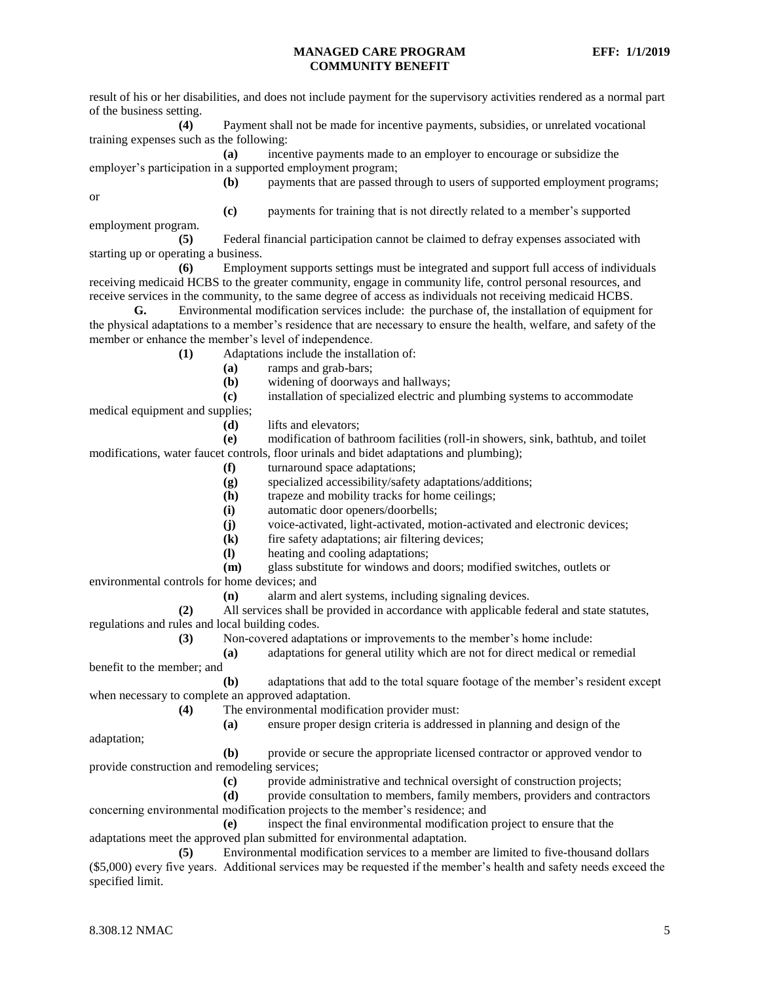result of his or her disabilities, and does not include payment for the supervisory activities rendered as a normal part of the business setting. **(4)** Payment shall not be made for incentive payments, subsidies, or unrelated vocational

training expenses such as the following:

**(a)** incentive payments made to an employer to encourage or subsidize the employer's participation in a supported employment program;

or

**(b)** payments that are passed through to users of supported employment programs;

**(c)** payments for training that is not directly related to a member's supported employment program.

**(5)** Federal financial participation cannot be claimed to defray expenses associated with starting up or operating a business.

**(6)** Employment supports settings must be integrated and support full access of individuals receiving medicaid HCBS to the greater community, engage in community life, control personal resources, and receive services in the community, to the same degree of access as individuals not receiving medicaid HCBS.

**G.** Environmental modification services include: the purchase of, the installation of equipment for the physical adaptations to a member's residence that are necessary to ensure the health, welfare, and safety of the member or enhance the member's level of independence.

**(1)** Adaptations include the installation of:

- **(a)** ramps and grab-bars;
- **(b)** widening of doorways and hallways;

**(c)** installation of specialized electric and plumbing systems to accommodate

medical equipment and supplies;

**(d)** lifts and elevators;

**(e)** modification of bathroom facilities (roll-in showers, sink, bathtub, and toilet modifications, water faucet controls, floor urinals and bidet adaptations and plumbing);

- **(f)** turnaround space adaptations;
- **(g)** specialized accessibility/safety adaptations/additions;
- **(h)** trapeze and mobility tracks for home ceilings;
- **(i)** automatic door openers/doorbells;
- **(j)** voice-activated, light-activated, motion-activated and electronic devices;
- **(k)** fire safety adaptations; air filtering devices;
- **(l)** heating and cooling adaptations;
- **(m)** glass substitute for windows and doors; modified switches, outlets or

environmental controls for home devices; and

**(n)** alarm and alert systems, including signaling devices.

**(2)** All services shall be provided in accordance with applicable federal and state statutes, regulations and rules and local building codes.

**(3)** Non-covered adaptations or improvements to the member's home include:

**(a)** adaptations for general utility which are not for direct medical or remedial

benefit to the member; and **(b)** adaptations that add to the total square footage of the member's resident except when necessary to complete an approved adaptation.

- **(4)** The environmental modification provider must:
	- **(a)** ensure proper design criteria is addressed in planning and design of the

adaptation;

**(b)** provide or secure the appropriate licensed contractor or approved vendor to provide construction and remodeling services;

**(c)** provide administrative and technical oversight of construction projects;

**(d)** provide consultation to members, family members, providers and contractors concerning environmental modification projects to the member's residence; and

**(e)** inspect the final environmental modification project to ensure that the adaptations meet the approved plan submitted for environmental adaptation.

**(5)** Environmental modification services to a member are limited to five-thousand dollars (\$5,000) every five years. Additional services may be requested if the member's health and safety needs exceed the specified limit.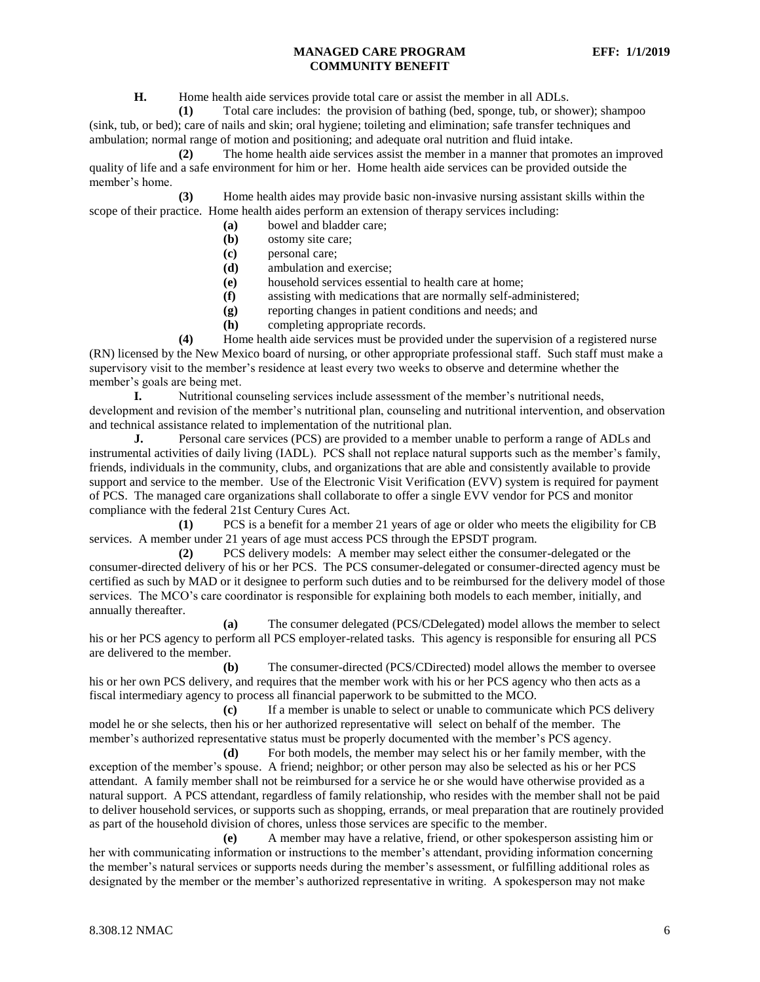**H.** Home health aide services provide total care or assist the member in all ADLs.

**(1)** Total care includes: the provision of bathing (bed, sponge, tub, or shower); shampoo (sink, tub, or bed); care of nails and skin; oral hygiene; toileting and elimination; safe transfer techniques and ambulation; normal range of motion and positioning; and adequate oral nutrition and fluid intake.

**(2)** The home health aide services assist the member in a manner that promotes an improved quality of life and a safe environment for him or her. Home health aide services can be provided outside the member's home.

**(3)** Home health aides may provide basic non-invasive nursing assistant skills within the scope of their practice. Home health aides perform an extension of therapy services including:

- **(a)** bowel and bladder care;
- **(b)** ostomy site care;
- **(c)** personal care;
- **(d)** ambulation and exercise;
- **(e)** household services essential to health care at home;
- **(f)** assisting with medications that are normally self-administered;
- **(g)** reporting changes in patient conditions and needs; and
- **(h)** completing appropriate records.

**(4)** Home health aide services must be provided under the supervision of a registered nurse (RN) licensed by the New Mexico board of nursing, or other appropriate professional staff. Such staff must make a supervisory visit to the member's residence at least every two weeks to observe and determine whether the member's goals are being met.

**I.** Nutritional counseling services include assessment of the member's nutritional needs, development and revision of the member's nutritional plan, counseling and nutritional intervention, and observation and technical assistance related to implementation of the nutritional plan.

**J.** Personal care services (PCS) are provided to a member unable to perform a range of ADLs and instrumental activities of daily living (IADL). PCS shall not replace natural supports such as the member's family, friends, individuals in the community, clubs, and organizations that are able and consistently available to provide support and service to the member. Use of the Electronic Visit Verification (EVV) system is required for payment of PCS. The managed care organizations shall collaborate to offer a single EVV vendor for PCS and monitor compliance with the federal 21st Century Cures Act.

**(1)** PCS is a benefit for a member 21 years of age or older who meets the eligibility for CB services. A member under 21 years of age must access PCS through the EPSDT program.

**(2)** PCS delivery models: A member may select either the consumer-delegated or the consumer-directed delivery of his or her PCS. The PCS consumer-delegated or consumer-directed agency must be certified as such by MAD or it designee to perform such duties and to be reimbursed for the delivery model of those services. The MCO's care coordinator is responsible for explaining both models to each member, initially, and annually thereafter.

**(a)** The consumer delegated (PCS/CDelegated) model allows the member to select his or her PCS agency to perform all PCS employer-related tasks. This agency is responsible for ensuring all PCS are delivered to the member.

**(b)** The consumer-directed (PCS/CDirected) model allows the member to oversee his or her own PCS delivery, and requires that the member work with his or her PCS agency who then acts as a fiscal intermediary agency to process all financial paperwork to be submitted to the MCO.

**(c)** If a member is unable to select or unable to communicate which PCS delivery model he or she selects, then his or her authorized representative will select on behalf of the member. The member's authorized representative status must be properly documented with the member's PCS agency.

**(d)** For both models, the member may select his or her family member, with the exception of the member's spouse. A friend; neighbor; or other person may also be selected as his or her PCS attendant. A family member shall not be reimbursed for a service he or she would have otherwise provided as a natural support. A PCS attendant, regardless of family relationship, who resides with the member shall not be paid to deliver household services, or supports such as shopping, errands, or meal preparation that are routinely provided as part of the household division of chores, unless those services are specific to the member.

**(e)** A member may have a relative, friend, or other spokesperson assisting him or her with communicating information or instructions to the member's attendant, providing information concerning the member's natural services or supports needs during the member's assessment, or fulfilling additional roles as designated by the member or the member's authorized representative in writing. A spokesperson may not make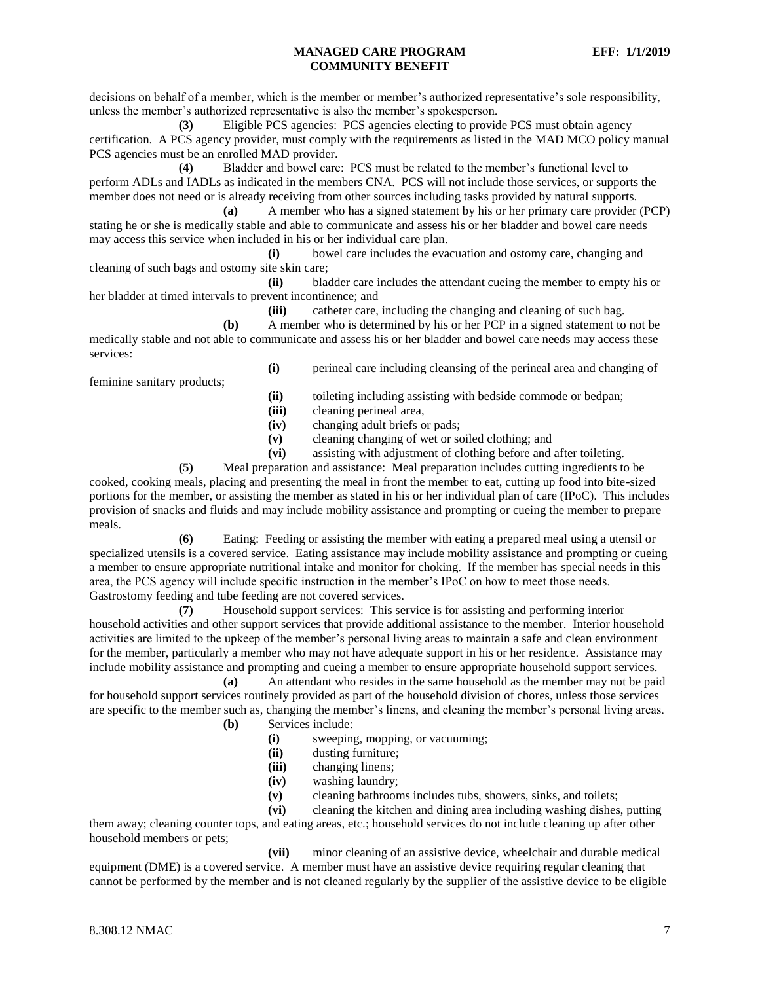decisions on behalf of a member, which is the member or member's authorized representative's sole responsibility, unless the member's authorized representative is also the member's spokesperson.

**(3)** Eligible PCS agencies: PCS agencies electing to provide PCS must obtain agency certification. A PCS agency provider, must comply with the requirements as listed in the MAD MCO policy manual PCS agencies must be an enrolled MAD provider.

**(4)** Bladder and bowel care: PCS must be related to the member's functional level to perform ADLs and IADLs as indicated in the members CNA. PCS will not include those services, or supports the member does not need or is already receiving from other sources including tasks provided by natural supports.

**(a)** A member who has a signed statement by his or her primary care provider (PCP) stating he or she is medically stable and able to communicate and assess his or her bladder and bowel care needs may access this service when included in his or her individual care plan.

**(i)** bowel care includes the evacuation and ostomy care, changing and cleaning of such bags and ostomy site skin care;

**(ii)** bladder care includes the attendant cueing the member to empty his or her bladder at timed intervals to prevent incontinence; and

**(iii)** catheter care, including the changing and cleaning of such bag.

**(b)** A member who is determined by his or her PCP in a signed statement to not be medically stable and not able to communicate and assess his or her bladder and bowel care needs may access these services:

feminine sanitary products;

**(i)** perineal care including cleansing of the perineal area and changing of

- **(ii)** toileting including assisting with bedside commode or bedpan;
- **(iii)** cleaning perineal area,
- **(iv)** changing adult briefs or pads;
- **(v)** cleaning changing of wet or soiled clothing; and
- **(vi)** assisting with adjustment of clothing before and after toileting.

**(5)** Meal preparation and assistance: Meal preparation includes cutting ingredients to be cooked, cooking meals, placing and presenting the meal in front the member to eat, cutting up food into bite-sized portions for the member, or assisting the member as stated in his or her individual plan of care (IPoC). This includes provision of snacks and fluids and may include mobility assistance and prompting or cueing the member to prepare meals.

**(6)** Eating: Feeding or assisting the member with eating a prepared meal using a utensil or specialized utensils is a covered service. Eating assistance may include mobility assistance and prompting or cueing a member to ensure appropriate nutritional intake and monitor for choking. If the member has special needs in this area, the PCS agency will include specific instruction in the member's IPoC on how to meet those needs. Gastrostomy feeding and tube feeding are not covered services.

**(7)** Household support services: This service is for assisting and performing interior household activities and other support services that provide additional assistance to the member. Interior household activities are limited to the upkeep of the member's personal living areas to maintain a safe and clean environment for the member, particularly a member who may not have adequate support in his or her residence. Assistance may include mobility assistance and prompting and cueing a member to ensure appropriate household support services.

**(a)** An attendant who resides in the same household as the member may not be paid for household support services routinely provided as part of the household division of chores, unless those services are specific to the member such as, changing the member's linens, and cleaning the member's personal living areas.

- **(b)** Services include:
	- **(i)** sweeping, mopping, or vacuuming;
	- **(ii)** dusting furniture;
	- **(iii)** changing linens;
	- **(iv)** washing laundry;
	- **(v)** cleaning bathrooms includes tubs, showers, sinks, and toilets;

**(vi)** cleaning the kitchen and dining area including washing dishes, putting

them away; cleaning counter tops, and eating areas, etc.; household services do not include cleaning up after other household members or pets;

**(vii)** minor cleaning of an assistive device, wheelchair and durable medical equipment (DME) is a covered service. A member must have an assistive device requiring regular cleaning that cannot be performed by the member and is not cleaned regularly by the supplier of the assistive device to be eligible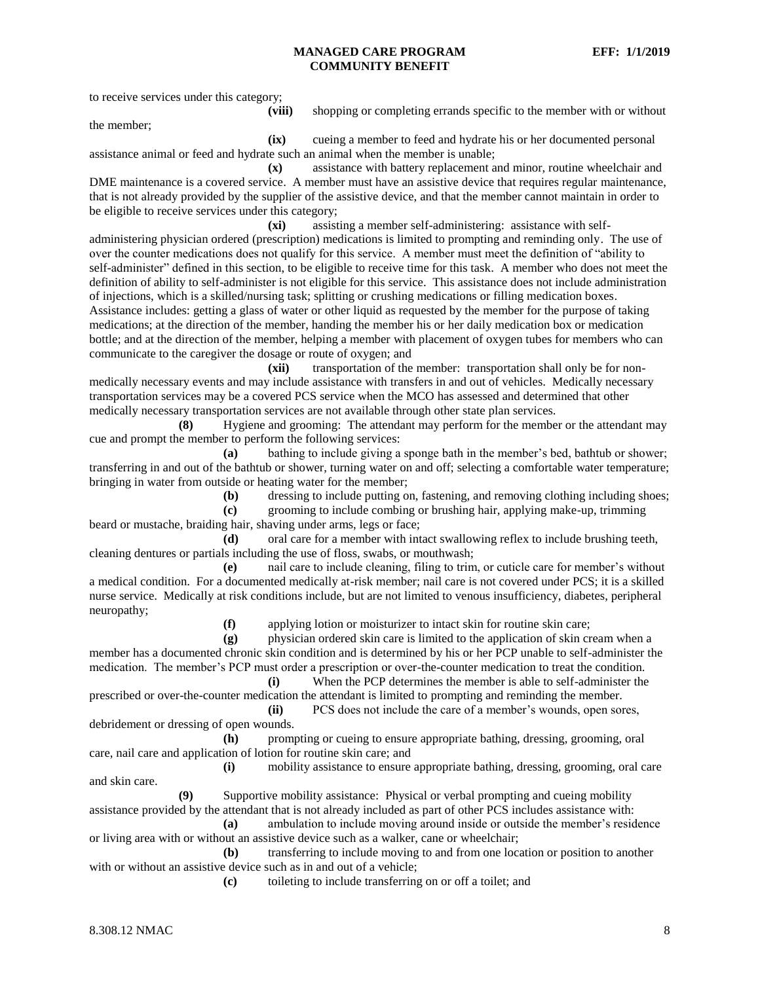to receive services under this category;

**(viii)** shopping or completing errands specific to the member with or without

the member;

**(ix)** cueing a member to feed and hydrate his or her documented personal assistance animal or feed and hydrate such an animal when the member is unable;

**(x)** assistance with battery replacement and minor, routine wheelchair and DME maintenance is a covered service. A member must have an assistive device that requires regular maintenance, that is not already provided by the supplier of the assistive device, and that the member cannot maintain in order to be eligible to receive services under this category;

**(xi)** assisting a member self-administering: assistance with selfadministering physician ordered (prescription) medications is limited to prompting and reminding only. The use of over the counter medications does not qualify for this service. A member must meet the definition of "ability to self-administer" defined in this section, to be eligible to receive time for this task. A member who does not meet the definition of ability to self-administer is not eligible for this service. This assistance does not include administration of injections, which is a skilled/nursing task; splitting or crushing medications or filling medication boxes. Assistance includes: getting a glass of water or other liquid as requested by the member for the purpose of taking medications; at the direction of the member, handing the member his or her daily medication box or medication bottle; and at the direction of the member, helping a member with placement of oxygen tubes for members who can communicate to the caregiver the dosage or route of oxygen; and

**(xii)** transportation of the member: transportation shall only be for nonmedically necessary events and may include assistance with transfers in and out of vehicles. Medically necessary transportation services may be a covered PCS service when the MCO has assessed and determined that other medically necessary transportation services are not available through other state plan services.

**(8)** Hygiene and grooming: The attendant may perform for the member or the attendant may cue and prompt the member to perform the following services:

**(a)** bathing to include giving a sponge bath in the member's bed, bathtub or shower; transferring in and out of the bathtub or shower, turning water on and off; selecting a comfortable water temperature; bringing in water from outside or heating water for the member;

**(b)** dressing to include putting on, fastening, and removing clothing including shoes;

**(c)** grooming to include combing or brushing hair, applying make-up, trimming beard or mustache, braiding hair, shaving under arms, legs or face;

**(d)** oral care for a member with intact swallowing reflex to include brushing teeth, cleaning dentures or partials including the use of floss, swabs, or mouthwash;

**(e)** nail care to include cleaning, filing to trim, or cuticle care for member's without a medical condition. For a documented medically at-risk member; nail care is not covered under PCS; it is a skilled nurse service. Medically at risk conditions include, but are not limited to venous insufficiency, diabetes, peripheral neuropathy;

**(f)** applying lotion or moisturizer to intact skin for routine skin care;

**(g)** physician ordered skin care is limited to the application of skin cream when a member has a documented chronic skin condition and is determined by his or her PCP unable to self-administer the medication. The member's PCP must order a prescription or over-the-counter medication to treat the condition.

**(i)** When the PCP determines the member is able to self-administer the prescribed or over-the-counter medication the attendant is limited to prompting and reminding the member. **(ii)** PCS does not include the care of a member's wounds, open sores,

debridement or dressing of open wounds.

**(h)** prompting or cueing to ensure appropriate bathing, dressing, grooming, oral care, nail care and application of lotion for routine skin care; and

**(i)** mobility assistance to ensure appropriate bathing, dressing, grooming, oral care and skin care.

**(9)** Supportive mobility assistance: Physical or verbal prompting and cueing mobility assistance provided by the attendant that is not already included as part of other PCS includes assistance with:

**(a)** ambulation to include moving around inside or outside the member's residence or living area with or without an assistive device such as a walker, cane or wheelchair;

**(b)** transferring to include moving to and from one location or position to another with or without an assistive device such as in and out of a vehicle;

**(c)** toileting to include transferring on or off a toilet; and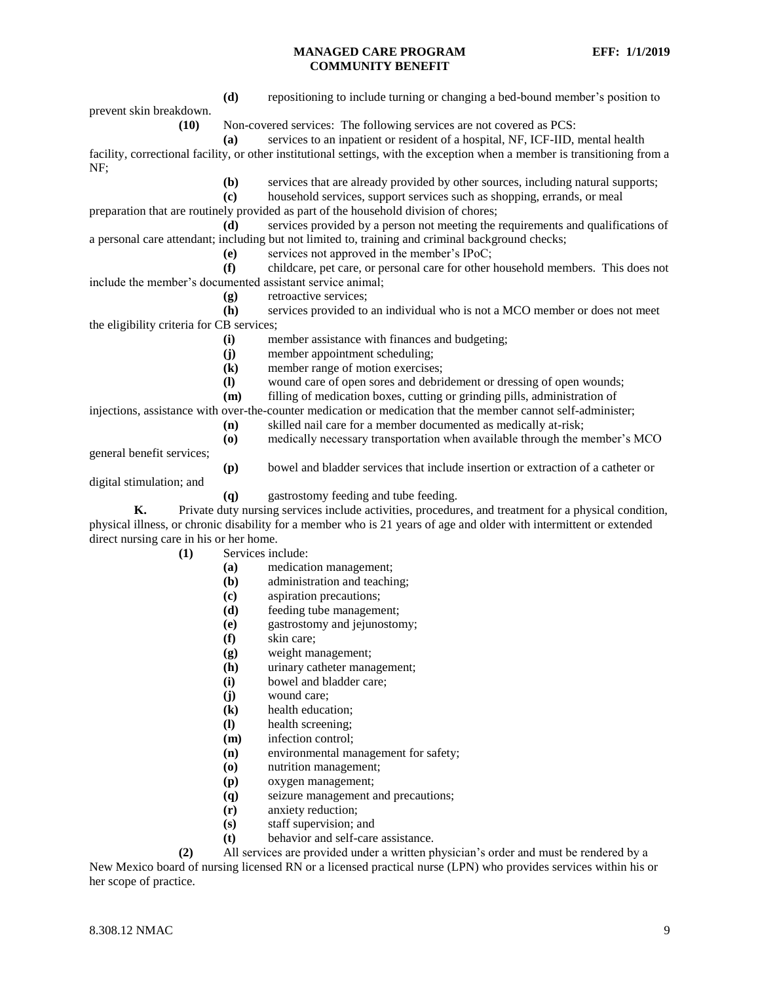prevent skin breakdown.

**(d)** repositioning to include turning or changing a bed-bound member's position to

**(10)** Non-covered services: The following services are not covered as PCS:

**(a)** services to an inpatient or resident of a hospital, NF, ICF-IID, mental health facility, correctional facility, or other institutional settings, with the exception when a member is transitioning from a NF;

**(b)** services that are already provided by other sources, including natural supports;

**(c)** household services, support services such as shopping, errands, or meal

preparation that are routinely provided as part of the household division of chores;

**(d)** services provided by a person not meeting the requirements and qualifications of a personal care attendant; including but not limited to, training and criminal background checks;

**(e)** services not approved in the member's IPoC;

**(f)** childcare, pet care, or personal care for other household members. This does not include the member's documented assistant service animal;

**(g)** retroactive services;

**(h)** services provided to an individual who is not a MCO member or does not meet the eligibility criteria for CB services;

**(i)** member assistance with finances and budgeting;

- **(j)** member appointment scheduling;
- **(k)** member range of motion exercises;
- **(l)** wound care of open sores and debridement or dressing of open wounds;
- **(m)** filling of medication boxes, cutting or grinding pills, administration of

injections, assistance with over-the-counter medication or medication that the member cannot self-administer;

- **(n)** skilled nail care for a member documented as medically at-risk;
- **(o)** medically necessary transportation when available through the member's MCO

general benefit services;

**(p)** bowel and bladder services that include insertion or extraction of a catheter or

digital stimulation; and

**(q)** gastrostomy feeding and tube feeding.

**K.** Private duty nursing services include activities, procedures, and treatment for a physical condition, physical illness, or chronic disability for a member who is 21 years of age and older with intermittent or extended direct nursing care in his or her home.

**(1)** Services include:

- **(a)** medication management;
- **(b)** administration and teaching;
- **(c)** aspiration precautions;
- **(d)** feeding tube management;
- **(e)** gastrostomy and jejunostomy;
- **(f)** skin care;
- **(g)** weight management;
- **(h)** urinary catheter management;
- **(i)** bowel and bladder care;
- **(j)** wound care;
- **(k)** health education;
- **(l)** health screening;
- **(m)** infection control;
- **(n)** environmental management for safety;
- **(o)** nutrition management;
- **(p)** oxygen management;
- **(q)** seizure management and precautions;
- **(r)** anxiety reduction;
- **(s)** staff supervision; and
- **(t)** behavior and self-care assistance.

**(2)** All services are provided under a written physician's order and must be rendered by a New Mexico board of nursing licensed RN or a licensed practical nurse (LPN) who provides services within his or her scope of practice.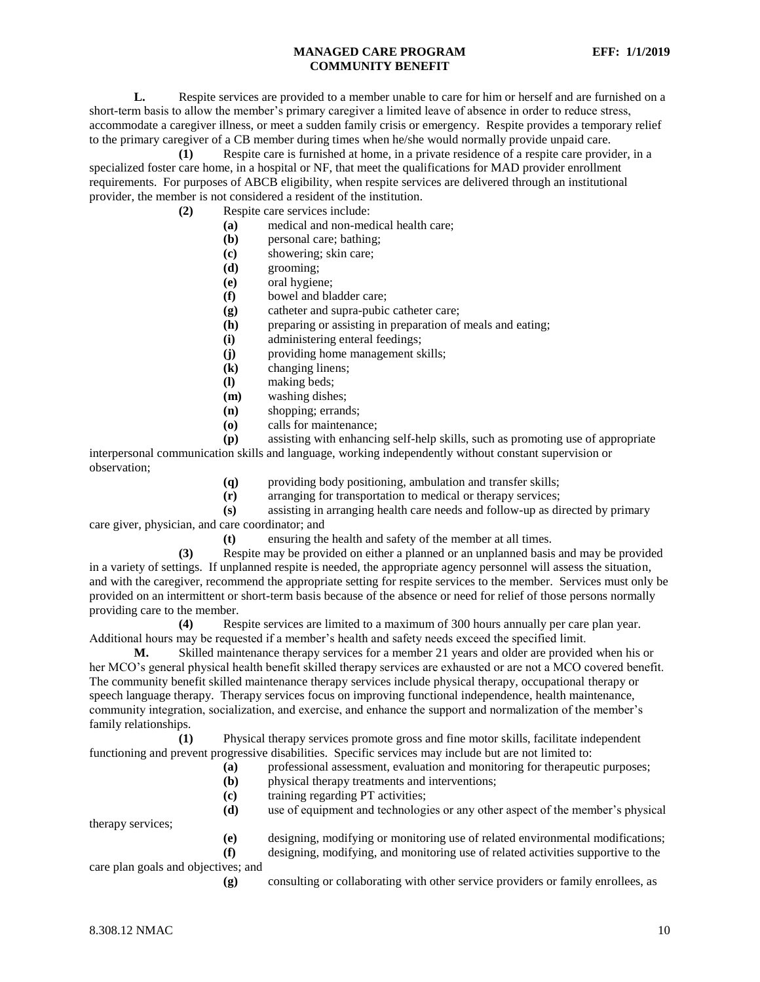**L.** Respite services are provided to a member unable to care for him or herself and are furnished on a short-term basis to allow the member's primary caregiver a limited leave of absence in order to reduce stress, accommodate a caregiver illness, or meet a sudden family crisis or emergency. Respite provides a temporary relief to the primary caregiver of a CB member during times when he/she would normally provide unpaid care.

**(1)** Respite care is furnished at home, in a private residence of a respite care provider, in a specialized foster care home, in a hospital or NF, that meet the qualifications for MAD provider enrollment requirements. For purposes of ABCB eligibility, when respite services are delivered through an institutional provider, the member is not considered a resident of the institution.

- **(2)** Respite care services include:
	- **(a)** medical and non-medical health care;
	- **(b)** personal care; bathing;
	- **(c)** showering; skin care;
	- **(d)** grooming;
	- **(e)** oral hygiene;
	- **(f)** bowel and bladder care;
	- **(g)** catheter and supra-pubic catheter care;
	- **(h)** preparing or assisting in preparation of meals and eating;
	- **(i)** administering enteral feedings;
	- **(j)** providing home management skills;
	- **(k)** changing linens;
	- **(l)** making beds;
	- **(m)** washing dishes;
	- **(n)** shopping; errands;
	- **(o)** calls for maintenance;

**(p)** assisting with enhancing self-help skills, such as promoting use of appropriate interpersonal communication skills and language, working independently without constant supervision or observation;

- **(q)** providing body positioning, ambulation and transfer skills;
- **(r)** arranging for transportation to medical or therapy services;

**(s)** assisting in arranging health care needs and follow-up as directed by primary care giver, physician, and care coordinator; and

**(t)** ensuring the health and safety of the member at all times.

**(3)** Respite may be provided on either a planned or an unplanned basis and may be provided in a variety of settings. If unplanned respite is needed, the appropriate agency personnel will assess the situation, and with the caregiver, recommend the appropriate setting for respite services to the member. Services must only be provided on an intermittent or short-term basis because of the absence or need for relief of those persons normally providing care to the member.

**(4)** Respite services are limited to a maximum of 300 hours annually per care plan year. Additional hours may be requested if a member's health and safety needs exceed the specified limit.

**M.** Skilled maintenance therapy services for a member 21 years and older are provided when his or her MCO's general physical health benefit skilled therapy services are exhausted or are not a MCO covered benefit. The community benefit skilled maintenance therapy services include physical therapy, occupational therapy or speech language therapy. Therapy services focus on improving functional independence, health maintenance, community integration, socialization, and exercise, and enhance the support and normalization of the member's family relationships.

**(1)** Physical therapy services promote gross and fine motor skills, facilitate independent functioning and prevent progressive disabilities. Specific services may include but are not limited to:

- **(a)** professional assessment, evaluation and monitoring for therapeutic purposes;
- **(b)** physical therapy treatments and interventions;
- **(c)** training regarding PT activities;
- **(d)** use of equipment and technologies or any other aspect of the member's physical

therapy services;

- **(e)** designing, modifying or monitoring use of related environmental modifications;
- **(f)** designing, modifying, and monitoring use of related activities supportive to the

care plan goals and objectives; and

**(g)** consulting or collaborating with other service providers or family enrollees, as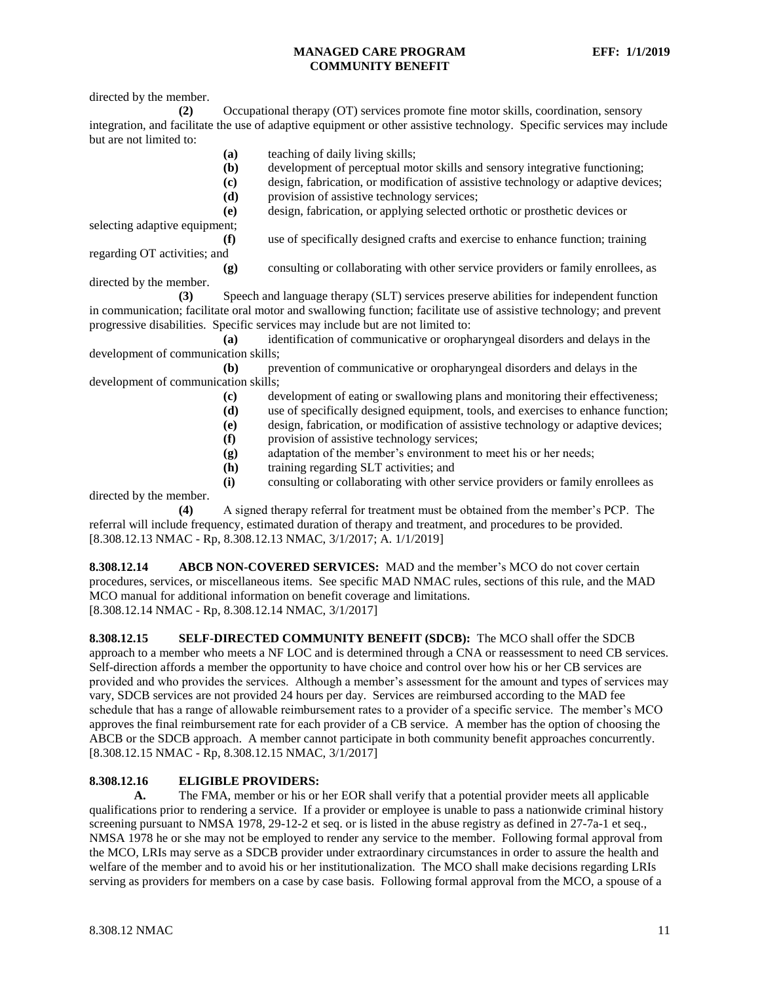directed by the member.

**(2)** Occupational therapy (OT) services promote fine motor skills, coordination, sensory integration, and facilitate the use of adaptive equipment or other assistive technology. Specific services may include but are not limited to:

- **(a)** teaching of daily living skills;
- **(b)** development of perceptual motor skills and sensory integrative functioning;
- **(c)** design, fabrication, or modification of assistive technology or adaptive devices;
	- **(d)** provision of assistive technology services;
	- **(e)** design, fabrication, or applying selected orthotic or prosthetic devices or

selecting adaptive equipment; **(f)** use of specifically designed crafts and exercise to enhance function; training

regarding OT activities; and

**(g)** consulting or collaborating with other service providers or family enrollees, as

directed by the member. **(3)** Speech and language therapy (SLT) services preserve abilities for independent function in communication; facilitate oral motor and swallowing function; facilitate use of assistive technology; and prevent progressive disabilities. Specific services may include but are not limited to:

**(a)** identification of communicative or oropharyngeal disorders and delays in the development of communication skills;

**(b)** prevention of communicative or oropharyngeal disorders and delays in the development of communication skills;

- **(c)** development of eating or swallowing plans and monitoring their effectiveness;
- **(d)** use of specifically designed equipment, tools, and exercises to enhance function;
- **(e)** design, fabrication, or modification of assistive technology or adaptive devices;
- **(f)** provision of assistive technology services;
- **(g)** adaptation of the member's environment to meet his or her needs;
- **(h)** training regarding SLT activities; and

**(i)** consulting or collaborating with other service providers or family enrollees as directed by the member.

**(4)** A signed therapy referral for treatment must be obtained from the member's PCP. The referral will include frequency, estimated duration of therapy and treatment, and procedures to be provided. [8.308.12.13 NMAC - Rp, 8.308.12.13 NMAC, 3/1/2017; A. 1/1/2019]

<span id="page-11-0"></span>**8.308.12.14 ABCB NON-COVERED SERVICES:** MAD and the member's MCO do not cover certain procedures, services, or miscellaneous items. See specific MAD NMAC rules, sections of this rule, and the MAD MCO manual for additional information on benefit coverage and limitations. [8.308.12.14 NMAC - Rp, 8.308.12.14 NMAC, 3/1/2017]

<span id="page-11-1"></span>**8.308.12.15 SELF-DIRECTED COMMUNITY BENEFIT (SDCB):** The MCO shall offer the SDCB approach to a member who meets a NF LOC and is determined through a CNA or reassessment to need CB services. Self-direction affords a member the opportunity to have choice and control over how his or her CB services are provided and who provides the services. Although a member's assessment for the amount and types of services may vary, SDCB services are not provided 24 hours per day. Services are reimbursed according to the MAD fee schedule that has a range of allowable reimbursement rates to a provider of a specific service. The member's MCO approves the final reimbursement rate for each provider of a CB service. A member has the option of choosing the ABCB or the SDCB approach. A member cannot participate in both community benefit approaches concurrently. [8.308.12.15 NMAC - Rp, 8.308.12.15 NMAC, 3/1/2017]

## <span id="page-11-2"></span>**8.308.12.16 ELIGIBLE PROVIDERS:**

**A.** The FMA, member or his or her EOR shall verify that a potential provider meets all applicable qualifications prior to rendering a service. If a provider or employee is unable to pass a nationwide criminal history screening pursuant to NMSA 1978, 29-12-2 et seq. or is listed in the abuse registry as defined in 27-7a-1 et seq., NMSA 1978 he or she may not be employed to render any service to the member. Following formal approval from the MCO, LRIs may serve as a SDCB provider under extraordinary circumstances in order to assure the health and welfare of the member and to avoid his or her institutionalization. The MCO shall make decisions regarding LRIs serving as providers for members on a case by case basis. Following formal approval from the MCO, a spouse of a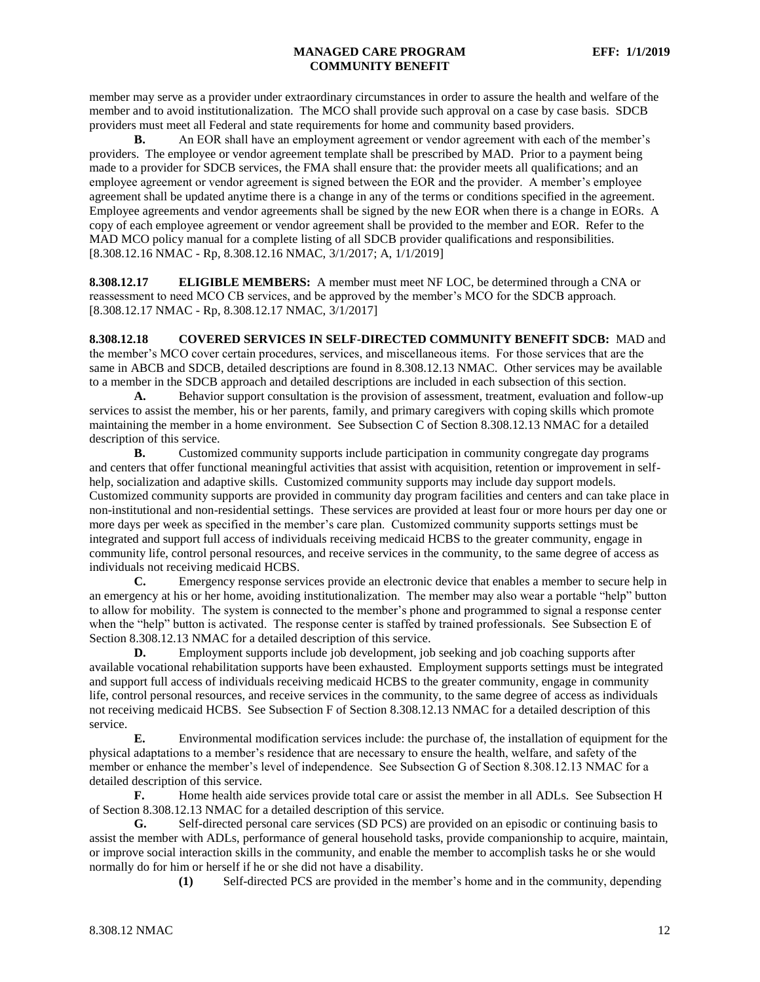member may serve as a provider under extraordinary circumstances in order to assure the health and welfare of the member and to avoid institutionalization. The MCO shall provide such approval on a case by case basis. SDCB providers must meet all Federal and state requirements for home and community based providers.

**B.** An EOR shall have an employment agreement or vendor agreement with each of the member's providers. The employee or vendor agreement template shall be prescribed by MAD. Prior to a payment being made to a provider for SDCB services, the FMA shall ensure that: the provider meets all qualifications; and an employee agreement or vendor agreement is signed between the EOR and the provider. A member's employee agreement shall be updated anytime there is a change in any of the terms or conditions specified in the agreement. Employee agreements and vendor agreements shall be signed by the new EOR when there is a change in EORs. A copy of each employee agreement or vendor agreement shall be provided to the member and EOR. Refer to the MAD MCO policy manual for a complete listing of all SDCB provider qualifications and responsibilities. [8.308.12.16 NMAC - Rp, 8.308.12.16 NMAC, 3/1/2017; A, 1/1/2019]

<span id="page-12-0"></span>**8.308.12.17 ELIGIBLE MEMBERS:** A member must meet NF LOC, be determined through a CNA or reassessment to need MCO CB services, and be approved by the member's MCO for the SDCB approach. [8.308.12.17 NMAC - Rp, 8.308.12.17 NMAC, 3/1/2017]

<span id="page-12-1"></span>**8.308.12.18 COVERED SERVICES IN SELF-DIRECTED COMMUNITY BENEFIT SDCB:** MAD and the member's MCO cover certain procedures, services, and miscellaneous items. For those services that are the same in ABCB and SDCB, detailed descriptions are found in 8.308.12.13 NMAC. Other services may be available to a member in the SDCB approach and detailed descriptions are included in each subsection of this section.

**A.** Behavior support consultation is the provision of assessment, treatment, evaluation and follow-up services to assist the member, his or her parents, family, and primary caregivers with coping skills which promote maintaining the member in a home environment. See Subsection C of Section 8.308.12.13 NMAC for a detailed description of this service.

**B.** Customized community supports include participation in community congregate day programs and centers that offer functional meaningful activities that assist with acquisition, retention or improvement in selfhelp, socialization and adaptive skills. Customized community supports may include day support models. Customized community supports are provided in community day program facilities and centers and can take place in non-institutional and non-residential settings. These services are provided at least four or more hours per day one or more days per week as specified in the member's care plan. Customized community supports settings must be integrated and support full access of individuals receiving medicaid HCBS to the greater community, engage in community life, control personal resources, and receive services in the community, to the same degree of access as individuals not receiving medicaid HCBS.<br> **C.** Emergency response served

Emergency response services provide an electronic device that enables a member to secure help in an emergency at his or her home, avoiding institutionalization. The member may also wear a portable "help" button to allow for mobility. The system is connected to the member's phone and programmed to signal a response center when the "help" button is activated. The response center is staffed by trained professionals. See Subsection E of Section 8.308.12.13 NMAC for a detailed description of this service.

**D.** Employment supports include job development, job seeking and job coaching supports after available vocational rehabilitation supports have been exhausted. Employment supports settings must be integrated and support full access of individuals receiving medicaid HCBS to the greater community, engage in community life, control personal resources, and receive services in the community, to the same degree of access as individuals not receiving medicaid HCBS. See Subsection F of Section 8.308.12.13 NMAC for a detailed description of this service.

**E.** Environmental modification services include: the purchase of, the installation of equipment for the physical adaptations to a member's residence that are necessary to ensure the health, welfare, and safety of the member or enhance the member's level of independence. See Subsection G of Section 8.308.12.13 NMAC for a detailed description of this service.

**F.** Home health aide services provide total care or assist the member in all ADLs. See Subsection H of Section 8.308.12.13 NMAC for a detailed description of this service.

**G.** Self-directed personal care services (SD PCS) are provided on an episodic or continuing basis to assist the member with ADLs, performance of general household tasks, provide companionship to acquire, maintain, or improve social interaction skills in the community, and enable the member to accomplish tasks he or she would normally do for him or herself if he or she did not have a disability.

**(1)** Self-directed PCS are provided in the member's home and in the community, depending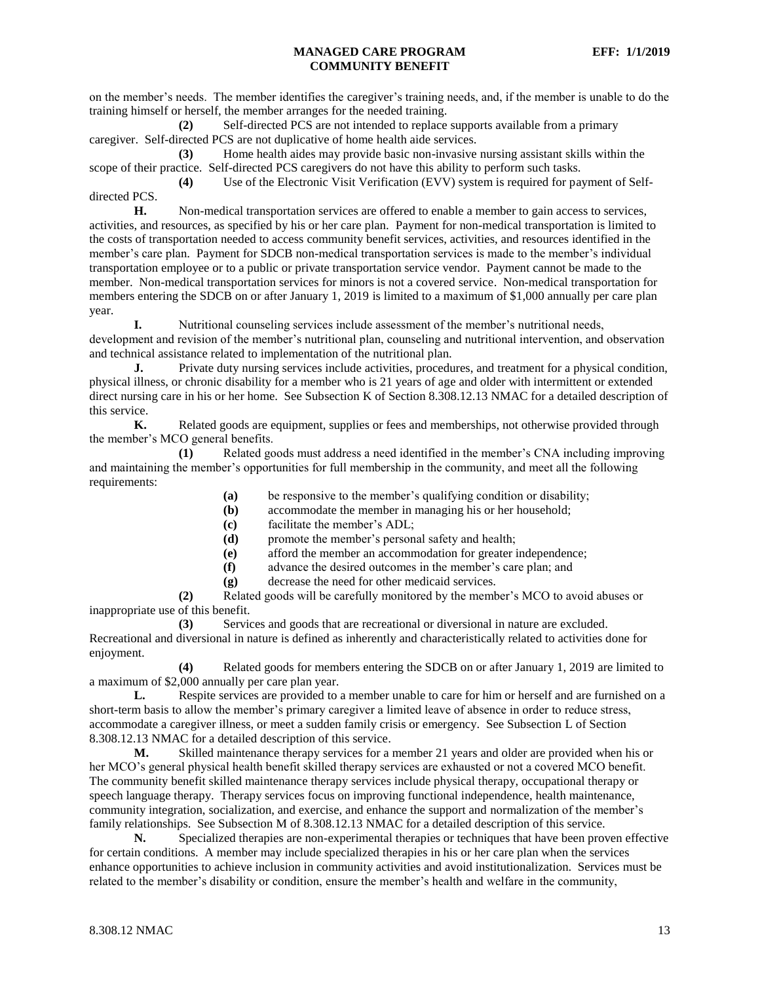on the member's needs. The member identifies the caregiver's training needs, and, if the member is unable to do the training himself or herself, the member arranges for the needed training.

**(2)** Self-directed PCS are not intended to replace supports available from a primary caregiver. Self-directed PCS are not duplicative of home health aide services.

**(3)** Home health aides may provide basic non-invasive nursing assistant skills within the scope of their practice. Self-directed PCS caregivers do not have this ability to perform such tasks.

**(4)** Use of the Electronic Visit Verification (EVV) system is required for payment of Selfdirected PCS.

**H.** Non-medical transportation services are offered to enable a member to gain access to services, activities, and resources, as specified by his or her care plan. Payment for non-medical transportation is limited to the costs of transportation needed to access community benefit services, activities, and resources identified in the member's care plan. Payment for SDCB non-medical transportation services is made to the member's individual transportation employee or to a public or private transportation service vendor. Payment cannot be made to the member. Non-medical transportation services for minors is not a covered service. Non-medical transportation for members entering the SDCB on or after January 1, 2019 is limited to a maximum of \$1,000 annually per care plan year.

**I.** Nutritional counseling services include assessment of the member's nutritional needs, development and revision of the member's nutritional plan, counseling and nutritional intervention, and observation and technical assistance related to implementation of the nutritional plan.

**J.** Private duty nursing services include activities, procedures, and treatment for a physical condition, physical illness, or chronic disability for a member who is 21 years of age and older with intermittent or extended direct nursing care in his or her home. See Subsection K of Section 8.308.12.13 NMAC for a detailed description of this service.

**K.** Related goods are equipment, supplies or fees and memberships, not otherwise provided through the member's MCO general benefits.

**(1)** Related goods must address a need identified in the member's CNA including improving and maintaining the member's opportunities for full membership in the community, and meet all the following requirements:

- **(a)** be responsive to the member's qualifying condition or disability;
- **(b)** accommodate the member in managing his or her household;
- **(c)** facilitate the member's ADL;
- **(d)** promote the member's personal safety and health;
- **(e)** afford the member an accommodation for greater independence;
- **(f)** advance the desired outcomes in the member's care plan; and
	- **(g)** decrease the need for other medicaid services.

**(2)** Related goods will be carefully monitored by the member's MCO to avoid abuses or inappropriate use of this benefit.

**(3)** Services and goods that are recreational or diversional in nature are excluded. Recreational and diversional in nature is defined as inherently and characteristically related to activities done for enjoyment.

**(4)** Related goods for members entering the SDCB on or after January 1, 2019 are limited to a maximum of \$2,000 annually per care plan year.

**L.** Respite services are provided to a member unable to care for him or herself and are furnished on a short-term basis to allow the member's primary caregiver a limited leave of absence in order to reduce stress, accommodate a caregiver illness, or meet a sudden family crisis or emergency. See Subsection L of Section 8.308.12.13 NMAC for a detailed description of this service.

**M.** Skilled maintenance therapy services for a member 21 years and older are provided when his or her MCO's general physical health benefit skilled therapy services are exhausted or not a covered MCO benefit. The community benefit skilled maintenance therapy services include physical therapy, occupational therapy or speech language therapy. Therapy services focus on improving functional independence, health maintenance, community integration, socialization, and exercise, and enhance the support and normalization of the member's family relationships. See Subsection M of 8.308.12.13 NMAC for a detailed description of this service.

**N.** Specialized therapies are non-experimental therapies or techniques that have been proven effective for certain conditions. A member may include specialized therapies in his or her care plan when the services enhance opportunities to achieve inclusion in community activities and avoid institutionalization. Services must be related to the member's disability or condition, ensure the member's health and welfare in the community,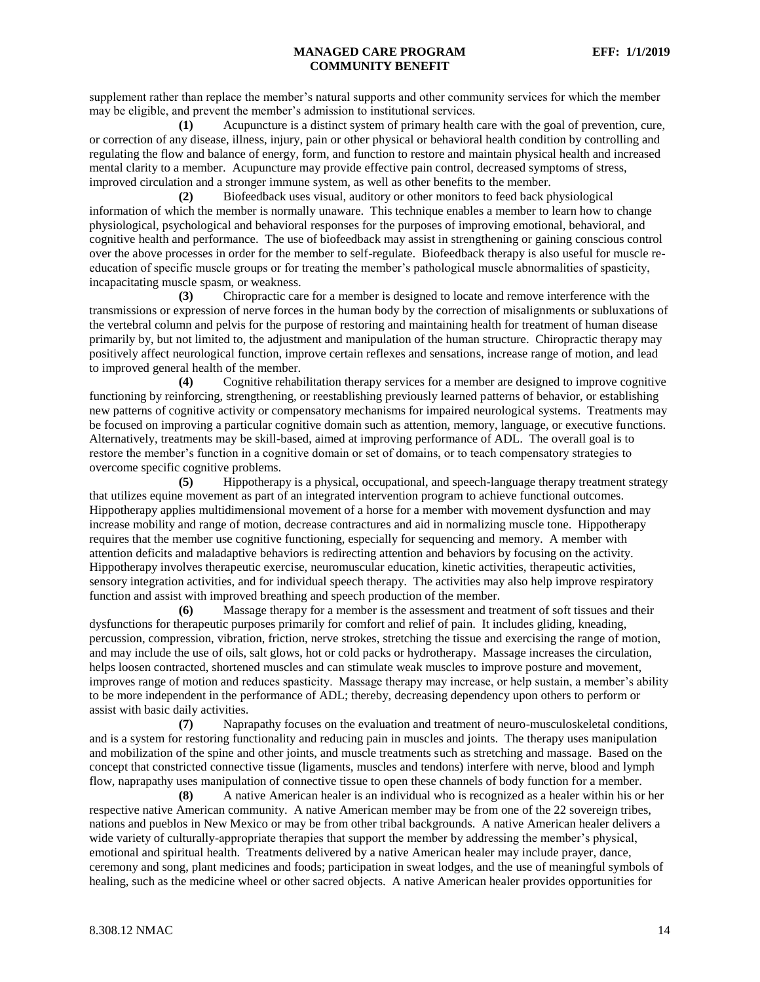supplement rather than replace the member's natural supports and other community services for which the member may be eligible, and prevent the member's admission to institutional services.

**(1)** Acupuncture is a distinct system of primary health care with the goal of prevention, cure, or correction of any disease, illness, injury, pain or other physical or behavioral health condition by controlling and regulating the flow and balance of energy, form, and function to restore and maintain physical health and increased mental clarity to a member. Acupuncture may provide effective pain control, decreased symptoms of stress, improved circulation and a stronger immune system, as well as other benefits to the member.

**(2)** Biofeedback uses visual, auditory or other monitors to feed back physiological information of which the member is normally unaware. This technique enables a member to learn how to change physiological, psychological and behavioral responses for the purposes of improving emotional, behavioral, and cognitive health and performance. The use of biofeedback may assist in strengthening or gaining conscious control over the above processes in order for the member to self-regulate. Biofeedback therapy is also useful for muscle reeducation of specific muscle groups or for treating the member's pathological muscle abnormalities of spasticity, incapacitating muscle spasm, or weakness.

**(3)** Chiropractic care for a member is designed to locate and remove interference with the transmissions or expression of nerve forces in the human body by the correction of misalignments or subluxations of the vertebral column and pelvis for the purpose of restoring and maintaining health for treatment of human disease primarily by, but not limited to, the adjustment and manipulation of the human structure. Chiropractic therapy may positively affect neurological function, improve certain reflexes and sensations, increase range of motion, and lead to improved general health of the member.

**(4)** Cognitive rehabilitation therapy services for a member are designed to improve cognitive functioning by reinforcing, strengthening, or reestablishing previously learned patterns of behavior, or establishing new patterns of cognitive activity or compensatory mechanisms for impaired neurological systems. Treatments may be focused on improving a particular cognitive domain such as attention, memory, language, or executive functions. Alternatively, treatments may be skill-based, aimed at improving performance of ADL. The overall goal is to restore the member's function in a cognitive domain or set of domains, or to teach compensatory strategies to overcome specific cognitive problems.

**(5)** Hippotherapy is a physical, occupational, and speech-language therapy treatment strategy that utilizes equine movement as part of an integrated intervention program to achieve functional outcomes. Hippotherapy applies multidimensional movement of a horse for a member with movement dysfunction and may increase mobility and range of motion, decrease contractures and aid in normalizing muscle tone. Hippotherapy requires that the member use cognitive functioning, especially for sequencing and memory. A member with attention deficits and maladaptive behaviors is redirecting attention and behaviors by focusing on the activity. Hippotherapy involves therapeutic exercise, neuromuscular education, kinetic activities, therapeutic activities, sensory integration activities, and for individual speech therapy. The activities may also help improve respiratory function and assist with improved breathing and speech production of the member.

**(6)** Massage therapy for a member is the assessment and treatment of soft tissues and their dysfunctions for therapeutic purposes primarily for comfort and relief of pain. It includes gliding, kneading, percussion, compression, vibration, friction, nerve strokes, stretching the tissue and exercising the range of motion, and may include the use of oils, salt glows, hot or cold packs or hydrotherapy. Massage increases the circulation, helps loosen contracted, shortened muscles and can stimulate weak muscles to improve posture and movement, improves range of motion and reduces spasticity. Massage therapy may increase, or help sustain, a member's ability to be more independent in the performance of ADL; thereby, decreasing dependency upon others to perform or assist with basic daily activities.

**(7)** Naprapathy focuses on the evaluation and treatment of neuro-musculoskeletal conditions, and is a system for restoring functionality and reducing pain in muscles and joints. The therapy uses manipulation and mobilization of the spine and other joints, and muscle treatments such as stretching and massage. Based on the concept that constricted connective tissue (ligaments, muscles and tendons) interfere with nerve, blood and lymph flow, naprapathy uses manipulation of connective tissue to open these channels of body function for a member.

**(8)** A native American healer is an individual who is recognized as a healer within his or her respective native American community. A native American member may be from one of the 22 sovereign tribes, nations and pueblos in New Mexico or may be from other tribal backgrounds. A native American healer delivers a wide variety of culturally-appropriate therapies that support the member by addressing the member's physical, emotional and spiritual health. Treatments delivered by a native American healer may include prayer, dance, ceremony and song, plant medicines and foods; participation in sweat lodges, and the use of meaningful symbols of healing, such as the medicine wheel or other sacred objects. A native American healer provides opportunities for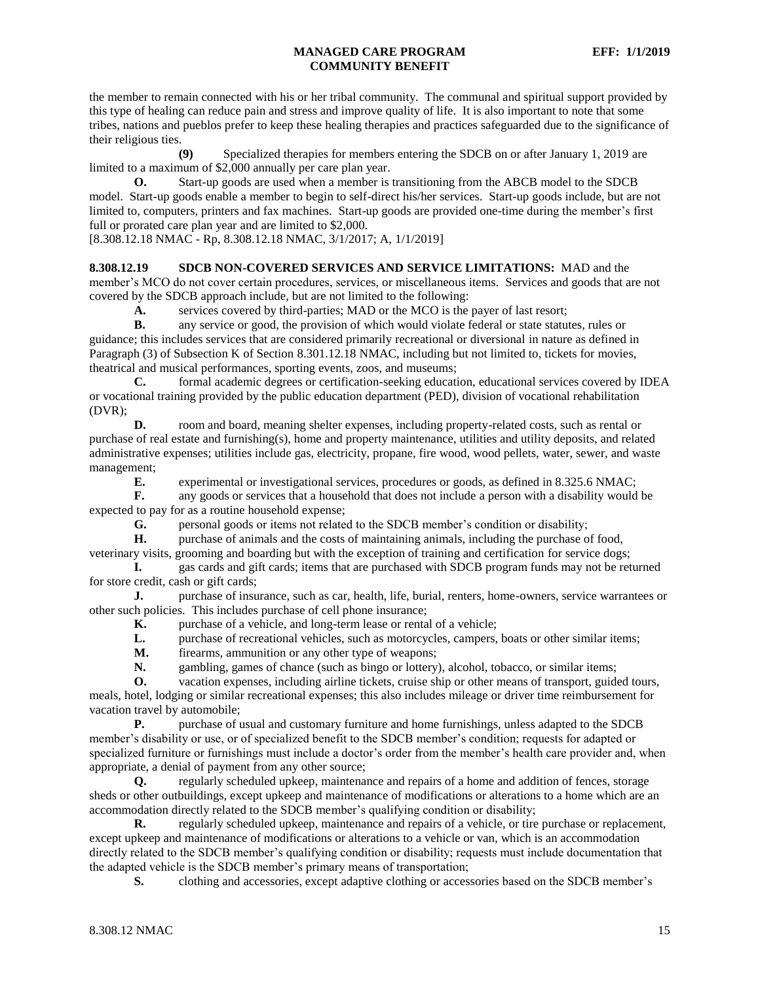the member to remain connected with his or her tribal community. The communal and spiritual support provided by this type of healing can reduce pain and stress and improve quality of life. It is also important to note that some tribes, nations and pueblos prefer to keep these healing therapies and practices safeguarded due to the significance of their religious ties.

**(9)** Specialized therapies for members entering the SDCB on or after January 1, 2019 are limited to a maximum of \$2,000 annually per care plan year.

**O.** Start-up goods are used when a member is transitioning from the ABCB model to the SDCB model. Start-up goods enable a member to begin to self-direct his/her services. Start-up goods include, but are not limited to, computers, printers and fax machines. Start-up goods are provided one-time during the member's first full or prorated care plan year and are limited to \$2,000.

[8.308.12.18 NMAC - Rp, 8.308.12.18 NMAC, 3/1/2017; A, 1/1/2019]

<span id="page-15-0"></span>**8.308.12.19 SDCB NON-COVERED SERVICES AND SERVICE LIMITATIONS:** MAD and the member's MCO do not cover certain procedures, services, or miscellaneous items. Services and goods that are not covered by the SDCB approach include, but are not limited to the following:

**A.** services covered by third-parties; MAD or the MCO is the payer of last resort;

**B.** any service or good, the provision of which would violate federal or state statutes, rules or guidance; this includes services that are considered primarily recreational or diversional in nature as defined in Paragraph (3) of Subsection K of Section 8.301.12.18 NMAC, including but not limited to, tickets for movies, theatrical and musical performances, sporting events, zoos, and museums;

**C.** formal academic degrees or certification-seeking education, educational services covered by IDEA or vocational training provided by the public education department (PED), division of vocational rehabilitation (DVR);

**D.** room and board, meaning shelter expenses, including property-related costs, such as rental or purchase of real estate and furnishing(s), home and property maintenance, utilities and utility deposits, and related administrative expenses; utilities include gas, electricity, propane, fire wood, wood pellets, water, sewer, and waste management;

**E.** experimental or investigational services, procedures or goods, as defined in 8.325.6 NMAC;

**F.** any goods or services that a household that does not include a person with a disability would be expected to pay for as a routine household expense;

**G.** personal goods or items not related to the SDCB member's condition or disability;<br>**H.** purchase of animals and the costs of maintaining animals, including the purchase or

**H.** purchase of animals and the costs of maintaining animals, including the purchase of food, veterinary visits, grooming and boarding but with the exception of training and certification for service dogs;

**I.** gas cards and gift cards; items that are purchased with SDCB program funds may not be returned for store credit, cash or gift cards;

**J.** purchase of insurance, such as car, health, life, burial, renters, home-owners, service warrantees or other such policies. This includes purchase of cell phone insurance;

**K.** purchase of a vehicle, and long-term lease or rental of a vehicle;

**L.** purchase of recreational vehicles, such as motorcycles, campers, boats or other similar items;

**M.** firearms, ammunition or any other type of weapons;

**N.** gambling, games of chance (such as bingo or lottery), alcohol, tobacco, or similar items;

**O.** vacation expenses, including airline tickets, cruise ship or other means of transport, guided tours, meals, hotel, lodging or similar recreational expenses; this also includes mileage or driver time reimbursement for vacation travel by automobile;

**P.** purchase of usual and customary furniture and home furnishings, unless adapted to the SDCB member's disability or use, or of specialized benefit to the SDCB member's condition; requests for adapted or specialized furniture or furnishings must include a doctor's order from the member's health care provider and, when appropriate, a denial of payment from any other source;

**Q.** regularly scheduled upkeep, maintenance and repairs of a home and addition of fences, storage sheds or other outbuildings, except upkeep and maintenance of modifications or alterations to a home which are an accommodation directly related to the SDCB member's qualifying condition or disability;

**R.** regularly scheduled upkeep, maintenance and repairs of a vehicle, or tire purchase or replacement, except upkeep and maintenance of modifications or alterations to a vehicle or van, which is an accommodation directly related to the SDCB member's qualifying condition or disability; requests must include documentation that the adapted vehicle is the SDCB member's primary means of transportation;

**S.** clothing and accessories, except adaptive clothing or accessories based on the SDCB member's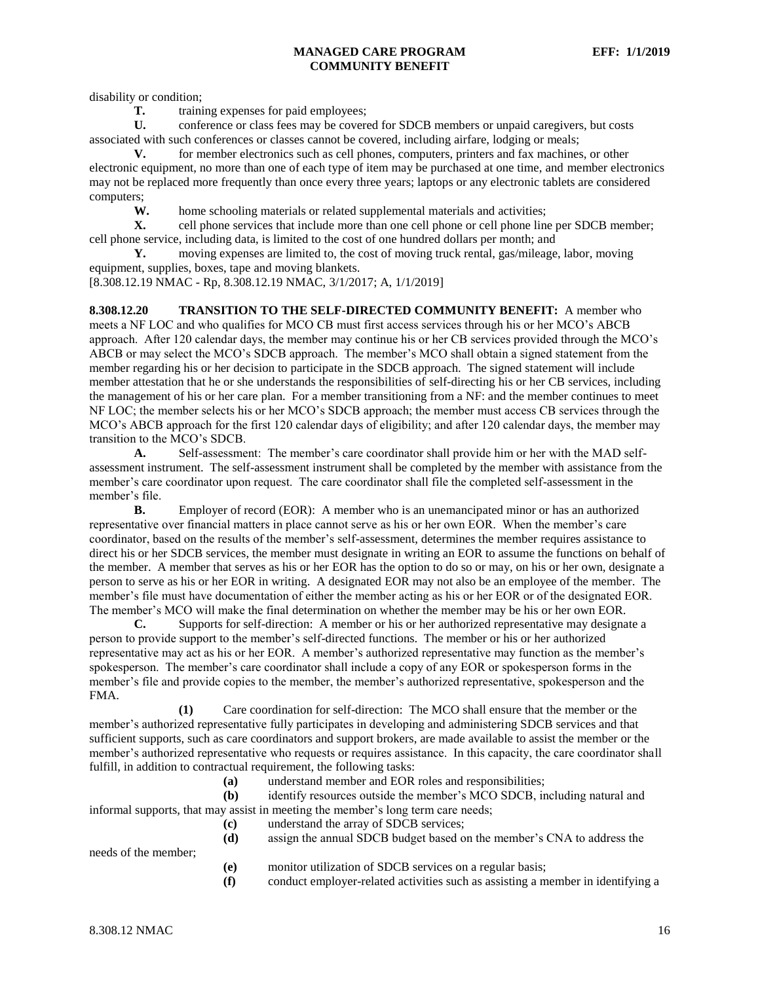disability or condition;

**T.** training expenses for paid employees;

**U.** conference or class fees may be covered for SDCB members or unpaid caregivers, but costs associated with such conferences or classes cannot be covered, including airfare, lodging or meals;

**V.** for member electronics such as cell phones, computers, printers and fax machines, or other electronic equipment, no more than one of each type of item may be purchased at one time, and member electronics may not be replaced more frequently than once every three years; laptops or any electronic tablets are considered computers;

**W.** home schooling materials or related supplemental materials and activities;<br>**X.** cell phone services that include more than one cell phone or cell phone line

cell phone services that include more than one cell phone or cell phone line per SDCB member; cell phone service, including data, is limited to the cost of one hundred dollars per month; and

**Y.** moving expenses are limited to, the cost of moving truck rental, gas/mileage, labor, moving equipment, supplies, boxes, tape and moving blankets.

[8.308.12.19 NMAC - Rp, 8.308.12.19 NMAC, 3/1/2017; A, 1/1/2019]

<span id="page-16-0"></span>**8.308.12.20 TRANSITION TO THE SELF-DIRECTED COMMUNITY BENEFIT:** A member who meets a NF LOC and who qualifies for MCO CB must first access services through his or her MCO's ABCB approach. After 120 calendar days, the member may continue his or her CB services provided through the MCO's ABCB or may select the MCO's SDCB approach. The member's MCO shall obtain a signed statement from the member regarding his or her decision to participate in the SDCB approach. The signed statement will include member attestation that he or she understands the responsibilities of self-directing his or her CB services, including the management of his or her care plan. For a member transitioning from a NF: and the member continues to meet NF LOC; the member selects his or her MCO's SDCB approach; the member must access CB services through the MCO's ABCB approach for the first 120 calendar days of eligibility; and after 120 calendar days, the member may transition to the MCO's SDCB.

**A.** Self-assessment: The member's care coordinator shall provide him or her with the MAD selfassessment instrument. The self-assessment instrument shall be completed by the member with assistance from the member's care coordinator upon request. The care coordinator shall file the completed self-assessment in the member's file.

**B.** Employer of record (EOR): A member who is an unemancipated minor or has an authorized representative over financial matters in place cannot serve as his or her own EOR. When the member's care coordinator, based on the results of the member's self-assessment, determines the member requires assistance to direct his or her SDCB services, the member must designate in writing an EOR to assume the functions on behalf of the member. A member that serves as his or her EOR has the option to do so or may, on his or her own, designate a person to serve as his or her EOR in writing. A designated EOR may not also be an employee of the member. The member's file must have documentation of either the member acting as his or her EOR or of the designated EOR. The member's MCO will make the final determination on whether the member may be his or her own EOR.

**C.** Supports for self-direction: A member or his or her authorized representative may designate a person to provide support to the member's self-directed functions. The member or his or her authorized representative may act as his or her EOR. A member's authorized representative may function as the member's spokesperson. The member's care coordinator shall include a copy of any EOR or spokesperson forms in the member's file and provide copies to the member, the member's authorized representative, spokesperson and the FMA.

**(1)** Care coordination for self-direction: The MCO shall ensure that the member or the member's authorized representative fully participates in developing and administering SDCB services and that sufficient supports, such as care coordinators and support brokers, are made available to assist the member or the member's authorized representative who requests or requires assistance. In this capacity, the care coordinator shall fulfill, in addition to contractual requirement, the following tasks:

**(a)** understand member and EOR roles and responsibilities;

**(b)** identify resources outside the member's MCO SDCB, including natural and informal supports, that may assist in meeting the member's long term care needs;

- **(c)** understand the array of SDCB services;
- **(d)** assign the annual SDCB budget based on the member's CNA to address the

needs of the member;

- **(e)** monitor utilization of SDCB services on a regular basis;
- **(f)** conduct employer-related activities such as assisting a member in identifying a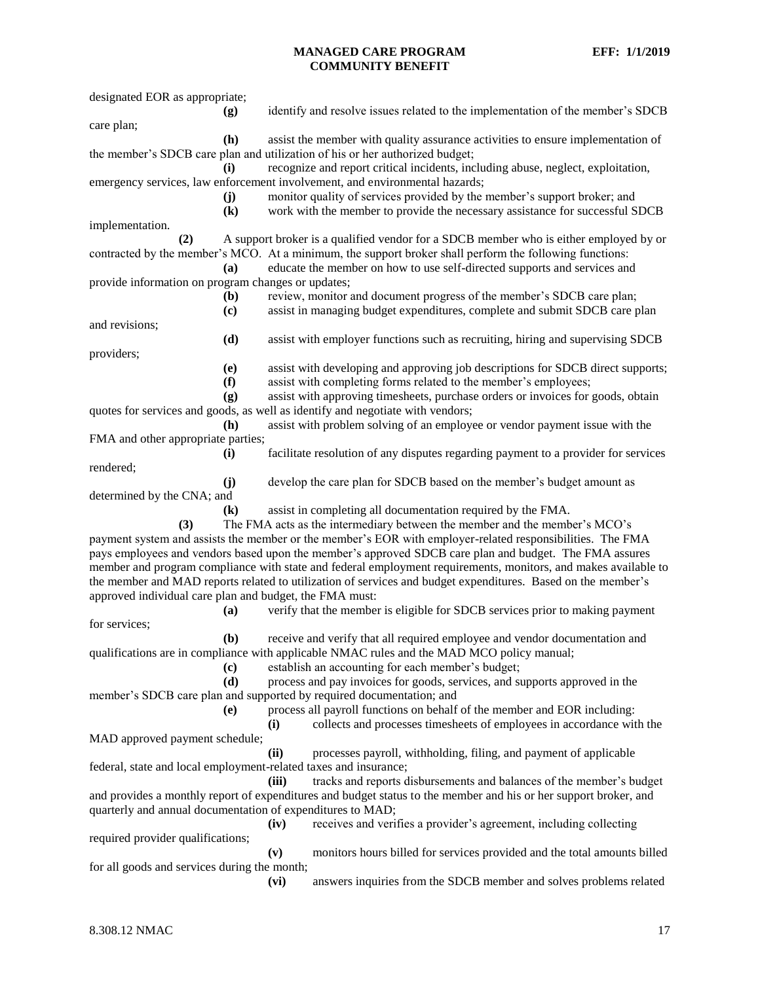| designated EOR as appropriate;                                                                                                                                                                                                 |                             |                                                                                                                                                                                     |  |  |
|--------------------------------------------------------------------------------------------------------------------------------------------------------------------------------------------------------------------------------|-----------------------------|-------------------------------------------------------------------------------------------------------------------------------------------------------------------------------------|--|--|
| care plan;                                                                                                                                                                                                                     | (g)                         | identify and resolve issues related to the implementation of the member's SDCB                                                                                                      |  |  |
|                                                                                                                                                                                                                                | (h)                         | assist the member with quality assurance activities to ensure implementation of                                                                                                     |  |  |
|                                                                                                                                                                                                                                |                             | the member's SDCB care plan and utilization of his or her authorized budget;                                                                                                        |  |  |
|                                                                                                                                                                                                                                | (i)                         | recognize and report critical incidents, including abuse, neglect, exploitation,                                                                                                    |  |  |
|                                                                                                                                                                                                                                | (j)                         | emergency services, law enforcement involvement, and environmental hazards;<br>monitor quality of services provided by the member's support broker; and                             |  |  |
|                                                                                                                                                                                                                                | $\left( \mathbf{k}\right)$  | work with the member to provide the necessary assistance for successful SDCB                                                                                                        |  |  |
| implementation.                                                                                                                                                                                                                |                             |                                                                                                                                                                                     |  |  |
| (2)                                                                                                                                                                                                                            |                             | A support broker is a qualified vendor for a SDCB member who is either employed by or                                                                                               |  |  |
|                                                                                                                                                                                                                                | (a)                         | contracted by the member's MCO. At a minimum, the support broker shall perform the following functions:<br>educate the member on how to use self-directed supports and services and |  |  |
| provide information on program changes or updates;                                                                                                                                                                             |                             |                                                                                                                                                                                     |  |  |
|                                                                                                                                                                                                                                | (b)                         | review, monitor and document progress of the member's SDCB care plan;                                                                                                               |  |  |
|                                                                                                                                                                                                                                | $\left( \mathbf{c} \right)$ | assist in managing budget expenditures, complete and submit SDCB care plan                                                                                                          |  |  |
| and revisions;                                                                                                                                                                                                                 |                             |                                                                                                                                                                                     |  |  |
|                                                                                                                                                                                                                                | (d)                         | assist with employer functions such as recruiting, hiring and supervising SDCB                                                                                                      |  |  |
| providers;                                                                                                                                                                                                                     |                             |                                                                                                                                                                                     |  |  |
|                                                                                                                                                                                                                                | (e)                         | assist with developing and approving job descriptions for SDCB direct supports;                                                                                                     |  |  |
|                                                                                                                                                                                                                                | (f)                         | assist with completing forms related to the member's employees;                                                                                                                     |  |  |
|                                                                                                                                                                                                                                | (g)                         | assist with approving timesheets, purchase orders or invoices for goods, obtain                                                                                                     |  |  |
|                                                                                                                                                                                                                                | (h)                         | quotes for services and goods, as well as identify and negotiate with vendors;<br>assist with problem solving of an employee or vendor payment issue with the                       |  |  |
| FMA and other appropriate parties;                                                                                                                                                                                             |                             |                                                                                                                                                                                     |  |  |
|                                                                                                                                                                                                                                | (i)                         | facilitate resolution of any disputes regarding payment to a provider for services                                                                                                  |  |  |
| rendered;                                                                                                                                                                                                                      |                             |                                                                                                                                                                                     |  |  |
|                                                                                                                                                                                                                                | (i)                         | develop the care plan for SDCB based on the member's budget amount as                                                                                                               |  |  |
| determined by the CNA; and                                                                                                                                                                                                     |                             |                                                                                                                                                                                     |  |  |
|                                                                                                                                                                                                                                | $\bf (k)$                   | assist in completing all documentation required by the FMA.                                                                                                                         |  |  |
| (3)                                                                                                                                                                                                                            |                             | The FMA acts as the intermediary between the member and the member's MCO's                                                                                                          |  |  |
|                                                                                                                                                                                                                                |                             | payment system and assists the member or the member's EOR with employer-related responsibilities. The FMA                                                                           |  |  |
|                                                                                                                                                                                                                                |                             | pays employees and vendors based upon the member's approved SDCB care plan and budget. The FMA assures                                                                              |  |  |
| member and program compliance with state and federal employment requirements, monitors, and makes available to<br>the member and MAD reports related to utilization of services and budget expenditures. Based on the member's |                             |                                                                                                                                                                                     |  |  |
| approved individual care plan and budget, the FMA must:                                                                                                                                                                        |                             |                                                                                                                                                                                     |  |  |
|                                                                                                                                                                                                                                | (a)                         | verify that the member is eligible for SDCB services prior to making payment                                                                                                        |  |  |
| for services;                                                                                                                                                                                                                  |                             |                                                                                                                                                                                     |  |  |
|                                                                                                                                                                                                                                | (b)                         | receive and verify that all required employee and vendor documentation and                                                                                                          |  |  |
|                                                                                                                                                                                                                                |                             | qualifications are in compliance with applicable NMAC rules and the MAD MCO policy manual;                                                                                          |  |  |
|                                                                                                                                                                                                                                | $\left( \mathbf{c} \right)$ | establish an accounting for each member's budget;                                                                                                                                   |  |  |
|                                                                                                                                                                                                                                | (d)                         | process and pay invoices for goods, services, and supports approved in the                                                                                                          |  |  |
|                                                                                                                                                                                                                                |                             | member's SDCB care plan and supported by required documentation; and                                                                                                                |  |  |
|                                                                                                                                                                                                                                | (e)                         | process all payroll functions on behalf of the member and EOR including:                                                                                                            |  |  |
|                                                                                                                                                                                                                                |                             | collects and processes timesheets of employees in accordance with the<br>(i)                                                                                                        |  |  |
| MAD approved payment schedule;                                                                                                                                                                                                 |                             | processes payroll, withholding, filing, and payment of applicable<br>(ii)                                                                                                           |  |  |
|                                                                                                                                                                                                                                |                             | federal, state and local employment-related taxes and insurance;                                                                                                                    |  |  |
|                                                                                                                                                                                                                                |                             | tracks and reports disbursements and balances of the member's budget<br>(iii)                                                                                                       |  |  |
|                                                                                                                                                                                                                                |                             | and provides a monthly report of expenditures and budget status to the member and his or her support broker, and                                                                    |  |  |
| quarterly and annual documentation of expenditures to MAD;                                                                                                                                                                     |                             |                                                                                                                                                                                     |  |  |
|                                                                                                                                                                                                                                |                             | receives and verifies a provider's agreement, including collecting<br>(iv)                                                                                                          |  |  |
| required provider qualifications;                                                                                                                                                                                              |                             |                                                                                                                                                                                     |  |  |
| (v)<br>monitors hours billed for services provided and the total amounts billed                                                                                                                                                |                             |                                                                                                                                                                                     |  |  |
| for all goods and services during the month;                                                                                                                                                                                   |                             |                                                                                                                                                                                     |  |  |
|                                                                                                                                                                                                                                |                             | answers inquiries from the SDCB member and solves problems related<br>(vi)                                                                                                          |  |  |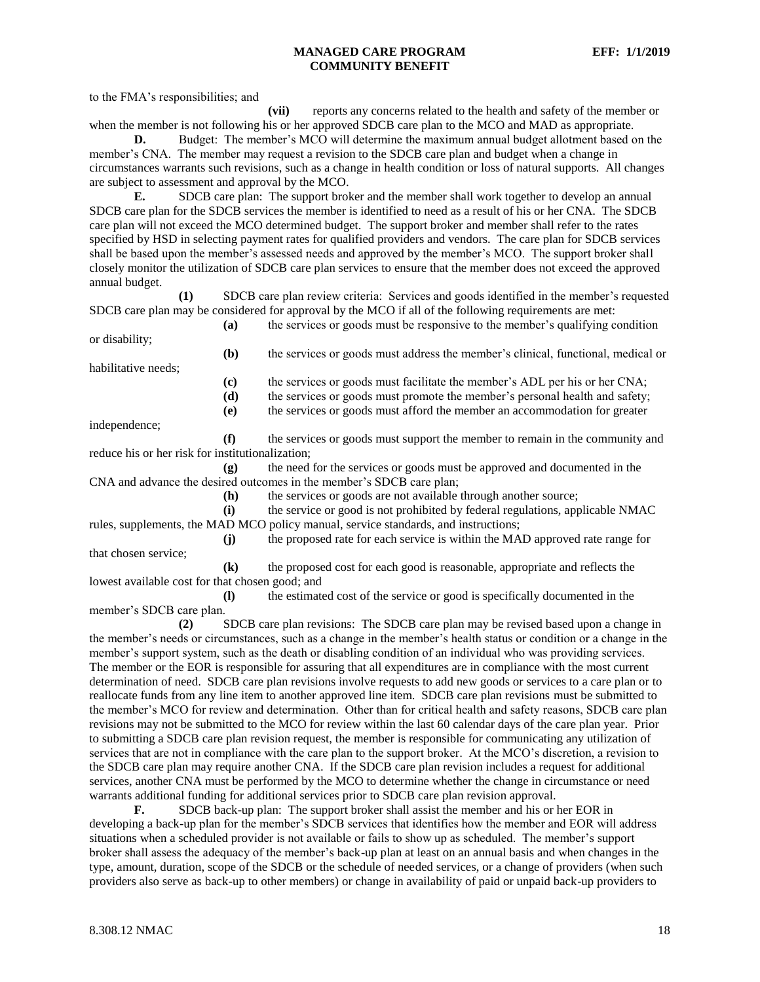to the FMA's responsibilities; and

**(vii)** reports any concerns related to the health and safety of the member or when the member is not following his or her approved SDCB care plan to the MCO and MAD as appropriate.

**D.** Budget: The member's MCO will determine the maximum annual budget allotment based on the member's CNA. The member may request a revision to the SDCB care plan and budget when a change in circumstances warrants such revisions, such as a change in health condition or loss of natural supports. All changes are subject to assessment and approval by the MCO.

**E.** SDCB care plan: The support broker and the member shall work together to develop an annual SDCB care plan for the SDCB services the member is identified to need as a result of his or her CNA. The SDCB care plan will not exceed the MCO determined budget. The support broker and member shall refer to the rates specified by HSD in selecting payment rates for qualified providers and vendors. The care plan for SDCB services shall be based upon the member's assessed needs and approved by the member's MCO. The support broker shall closely monitor the utilization of SDCB care plan services to ensure that the member does not exceed the approved annual budget.

**(1)** SDCB care plan review criteria: Services and goods identified in the member's requested SDCB care plan may be considered for approval by the MCO if all of the following requirements are met:

**(a)** the services or goods must be responsive to the member's qualifying condition or disability;

habilitative needs;

**(c)** the services or goods must facilitate the member's ADL per his or her CNA;

**(b)** the services or goods must address the member's clinical, functional, medical or

**(d)** the services or goods must promote the member's personal health and safety;

**(e)** the services or goods must afford the member an accommodation for greater

**(j)** the proposed rate for each service is within the MAD approved rate range for

independence;

**(f)** the services or goods must support the member to remain in the community and reduce his or her risk for institutionalization;

**(g)** the need for the services or goods must be approved and documented in the CNA and advance the desired outcomes in the member's SDCB care plan;

**(h)** the services or goods are not available through another source;

**(i)** the service or good is not prohibited by federal regulations, applicable NMAC rules, supplements, the MAD MCO policy manual, service standards, and instructions;

that chosen service;

**(k)** the proposed cost for each good is reasonable, appropriate and reflects the lowest available cost for that chosen good; and

**(l)** the estimated cost of the service or good is specifically documented in the member's SDCB care plan.

**(2)** SDCB care plan revisions: The SDCB care plan may be revised based upon a change in the member's needs or circumstances, such as a change in the member's health status or condition or a change in the member's support system, such as the death or disabling condition of an individual who was providing services. The member or the EOR is responsible for assuring that all expenditures are in compliance with the most current determination of need. SDCB care plan revisions involve requests to add new goods or services to a care plan or to reallocate funds from any line item to another approved line item. SDCB care plan revisions must be submitted to the member's MCO for review and determination. Other than for critical health and safety reasons, SDCB care plan revisions may not be submitted to the MCO for review within the last 60 calendar days of the care plan year. Prior to submitting a SDCB care plan revision request, the member is responsible for communicating any utilization of services that are not in compliance with the care plan to the support broker. At the MCO's discretion, a revision to the SDCB care plan may require another CNA. If the SDCB care plan revision includes a request for additional services, another CNA must be performed by the MCO to determine whether the change in circumstance or need warrants additional funding for additional services prior to SDCB care plan revision approval.

**F.** SDCB back-up plan: The support broker shall assist the member and his or her EOR in developing a back-up plan for the member's SDCB services that identifies how the member and EOR will address situations when a scheduled provider is not available or fails to show up as scheduled. The member's support broker shall assess the adequacy of the member's back-up plan at least on an annual basis and when changes in the type, amount, duration, scope of the SDCB or the schedule of needed services, or a change of providers (when such providers also serve as back-up to other members) or change in availability of paid or unpaid back-up providers to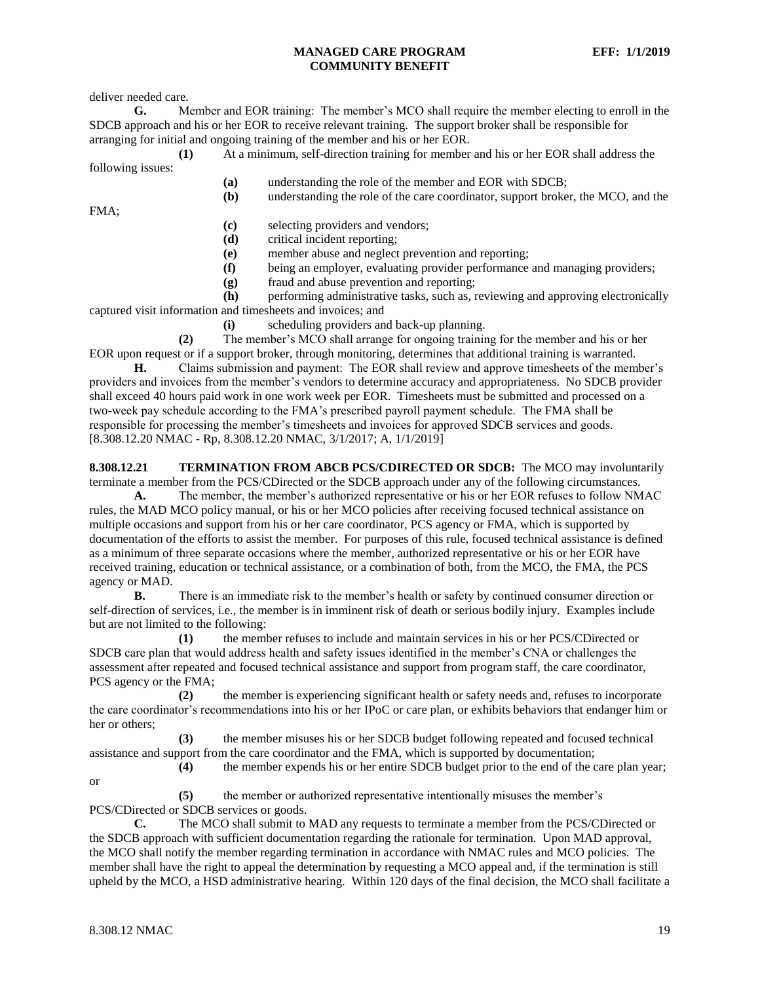deliver needed care.

**G.** Member and EOR training: The member's MCO shall require the member electing to enroll in the SDCB approach and his or her EOR to receive relevant training. The support broker shall be responsible for arranging for initial and ongoing training of the member and his or her EOR.

**(1)** At a minimum, self-direction training for member and his or her EOR shall address the following issues:

**(a)** understanding the role of the member and EOR with SDCB;

**(b)** understanding the role of the care coordinator, support broker, the MCO, and the

FMA;

- **(c)** selecting providers and vendors;
- **(d)** critical incident reporting;
- **(e)** member abuse and neglect prevention and reporting;
- **(f)** being an employer, evaluating provider performance and managing providers;
- **(g)** fraud and abuse prevention and reporting;

**(h)** performing administrative tasks, such as, reviewing and approving electronically captured visit information and timesheets and invoices; and

**(i)** scheduling providers and back-up planning.

**(2)** The member's MCO shall arrange for ongoing training for the member and his or her EOR upon request or if a support broker, through monitoring, determines that additional training is warranted.

**H.** Claims submission and payment: The EOR shall review and approve timesheets of the member's providers and invoices from the member's vendors to determine accuracy and appropriateness. No SDCB provider shall exceed 40 hours paid work in one work week per EOR. Timesheets must be submitted and processed on a two-week pay schedule according to the FMA's prescribed payroll payment schedule. The FMA shall be responsible for processing the member's timesheets and invoices for approved SDCB services and goods. [8.308.12.20 NMAC - Rp, 8.308.12.20 NMAC, 3/1/2017; A, 1/1/2019]

<span id="page-19-0"></span>**8.308.12.21 TERMINATION FROM ABCB PCS/CDIRECTED OR SDCB:** The MCO may involuntarily terminate a member from the PCS/CDirected or the SDCB approach under any of the following circumstances.

**A.** The member, the member's authorized representative or his or her EOR refuses to follow NMAC rules, the MAD MCO policy manual, or his or her MCO policies after receiving focused technical assistance on multiple occasions and support from his or her care coordinator, PCS agency or FMA, which is supported by documentation of the efforts to assist the member. For purposes of this rule, focused technical assistance is defined as a minimum of three separate occasions where the member, authorized representative or his or her EOR have received training, education or technical assistance, or a combination of both, from the MCO, the FMA, the PCS agency or MAD.

**B.** There is an immediate risk to the member's health or safety by continued consumer direction or self-direction of services, i.e., the member is in imminent risk of death or serious bodily injury. Examples include but are not limited to the following:

**(1)** the member refuses to include and maintain services in his or her PCS/CDirected or SDCB care plan that would address health and safety issues identified in the member's CNA or challenges the assessment after repeated and focused technical assistance and support from program staff, the care coordinator, PCS agency or the FMA;

**(2)** the member is experiencing significant health or safety needs and, refuses to incorporate the care coordinator's recommendations into his or her IPoC or care plan, or exhibits behaviors that endanger him or her or others;

**(3)** the member misuses his or her SDCB budget following repeated and focused technical assistance and support from the care coordinator and the FMA, which is supported by documentation;

**(4)** the member expends his or her entire SDCB budget prior to the end of the care plan year;

**(5)** the member or authorized representative intentionally misuses the member's PCS/CDirected or SDCB services or goods.

**C.** The MCO shall submit to MAD any requests to terminate a member from the PCS/CDirected or the SDCB approach with sufficient documentation regarding the rationale for termination. Upon MAD approval, the MCO shall notify the member regarding termination in accordance with NMAC rules and MCO policies. The member shall have the right to appeal the determination by requesting a MCO appeal and, if the termination is still upheld by the MCO, a HSD administrative hearing. Within 120 days of the final decision, the MCO shall facilitate a

or